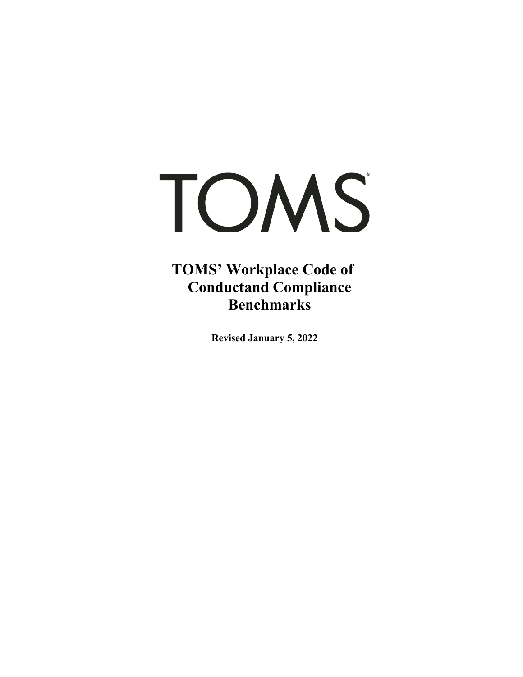# TOMS

**TOMS' Workplace Code of Conductand Compliance Benchmarks** 

**Revised January 5, 2022**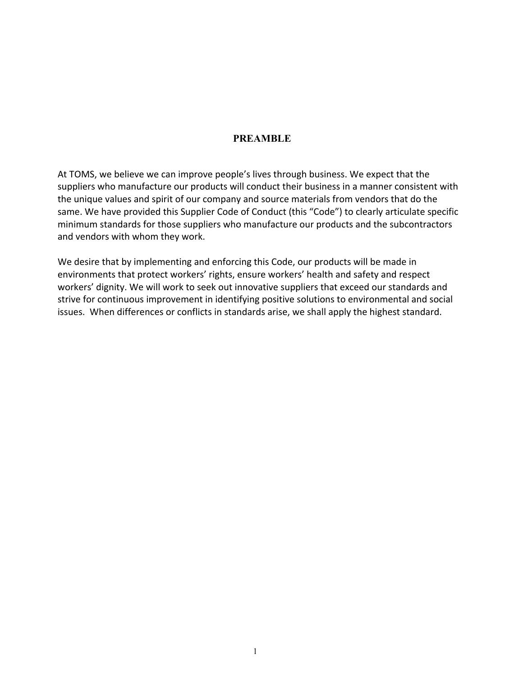# **PREAMBLE**

At TOMS, we believe we can improve people's lives through business. We expect that the suppliers who manufacture our products will conduct their business in a manner consistent with the unique values and spirit of our company and source materials from vendors that do the same. We have provided this Supplier Code of Conduct (this "Code") to clearly articulate specific minimum standards for those suppliers who manufacture our products and the subcontractors and vendors with whom they work.

We desire that by implementing and enforcing this Code, our products will be made in environments that protect workers' rights, ensure workers' health and safety and respect workers' dignity. We will work to seek out innovative suppliers that exceed our standards and strive for continuous improvement in identifying positive solutions to environmental and social issues. When differences or conflicts in standards arise, we shall apply the highest standard.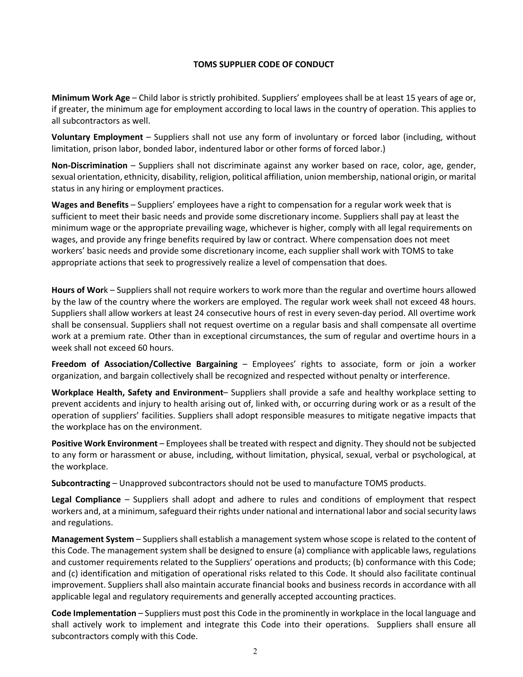#### **TOMS SUPPLIER CODE OF CONDUCT**

**Minimum Work Age** – Child labor is strictly prohibited. Suppliers' employees shall be at least 15 years of age or, if greater, the minimum age for employment according to local laws in the country of operation. This applies to all subcontractors as well.

**Voluntary Employment** – Suppliers shall not use any form of involuntary or forced labor (including, without limitation, prison labor, bonded labor, indentured labor or other forms of forced labor.)

**Non-Discrimination** – Suppliers shall not discriminate against any worker based on race, color, age, gender, sexual orientation, ethnicity, disability, religion, political affiliation, union membership, national origin, or marital status in any hiring or employment practices.

**Wages and Benefits** – Suppliers' employees have a right to compensation for a regular work week that is sufficient to meet their basic needs and provide some discretionary income. Suppliers shall pay at least the minimum wage or the appropriate prevailing wage, whichever is higher, comply with all legal requirements on wages, and provide any fringe benefits required by law or contract. Where compensation does not meet workers' basic needs and provide some discretionary income, each supplier shall work with TOMS to take appropriate actions that seek to progressively realize a level of compensation that does.

**Hours of Wor**k – Suppliers shall not require workers to work more than the regular and overtime hours allowed by the law of the country where the workers are employed. The regular work week shall not exceed 48 hours. Suppliers shall allow workers at least 24 consecutive hours of rest in every seven-day period. All overtime work shall be consensual. Suppliers shall not request overtime on a regular basis and shall compensate all overtime work at a premium rate. Other than in exceptional circumstances, the sum of regular and overtime hours in a week shall not exceed 60 hours.

**Freedom of Association/Collective Bargaining** – Employees' rights to associate, form or join a worker organization, and bargain collectively shall be recognized and respected without penalty or interference.

**Workplace Health, Safety and Environment**– Suppliers shall provide a safe and healthy workplace setting to prevent accidents and injury to health arising out of, linked with, or occurring during work or as a result of the operation of suppliers' facilities. Suppliers shall adopt responsible measures to mitigate negative impacts that the workplace has on the environment.

**Positive Work Environment** – Employees shall be treated with respect and dignity. They should not be subjected to any form or harassment or abuse, including, without limitation, physical, sexual, verbal or psychological, at the workplace.

**Subcontracting** – Unapproved subcontractors should not be used to manufacture TOMS products.

**Legal Compliance** – Suppliers shall adopt and adhere to rules and conditions of employment that respect workers and, at a minimum, safeguard their rights under national and international labor and social security laws and regulations.

**Management System** – Suppliers shall establish a management system whose scope is related to the content of this Code. The management system shall be designed to ensure (a) compliance with applicable laws, regulations and customer requirements related to the Suppliers' operations and products; (b) conformance with this Code; and (c) identification and mitigation of operational risks related to this Code. It should also facilitate continual improvement. Suppliers shall also maintain accurate financial books and business records in accordance with all applicable legal and regulatory requirements and generally accepted accounting practices.

**Code Implementation** – Suppliers must post this Code in the prominently in workplace in the local language and shall actively work to implement and integrate this Code into their operations. Suppliers shall ensure all subcontractors comply with this Code.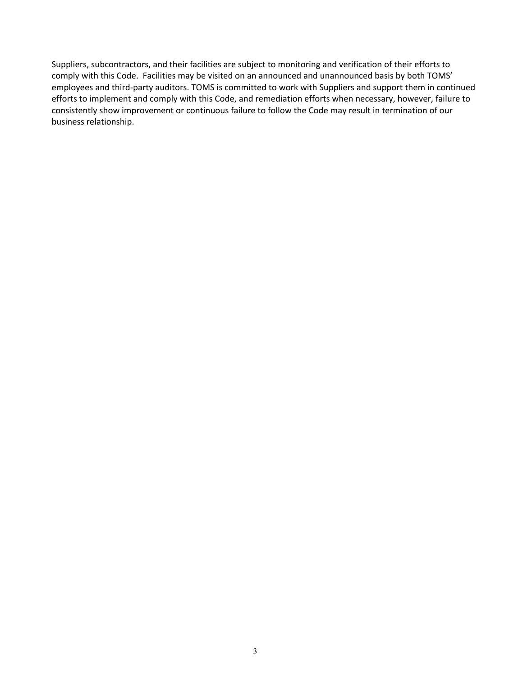Suppliers, subcontractors, and their facilities are subject to monitoring and verification of their efforts to comply with this Code. Facilities may be visited on an announced and unannounced basis by both TOMS' employees and third-party auditors. TOMS is committed to work with Suppliers and support them in continued efforts to implement and comply with this Code, and remediation efforts when necessary, however, failure to consistently show improvement or continuous failure to follow the Code may result in termination of our business relationship.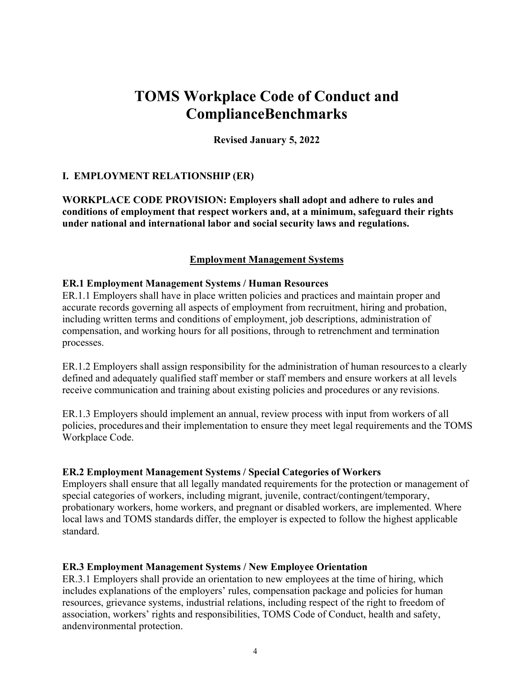# **TOMS Workplace Code of Conduct and Compliance Benchmarks**

**Revised January 5, 2022** 

# **I. EMPLOYMENT RELATIONSHIP (ER)**

**WORKPLACE CODE PROVISION: Employers shall adopt and adhere to rules and conditions of employment that respect workers and, at a minimum, safeguard their rights under national and international labor and social security laws and regulations.** 

## **Employment Management Systems**

#### **ER.1 Employment Management Systems / Human Resources**

ER.1.1 Employers shall have in place written policies and practices and maintain proper and accurate records governing all aspects of employment from recruitment, hiring and probation, including written terms and conditions of employment, job descriptions, administration of compensation, and working hours for all positions, through to retrenchment and termination processes.

ER.1.2 Employers shall assign responsibility for the administration of human resources to a clearly defined and adequately qualified staff member or staff members and ensure workers at all levels receive communication and training about existing policies and procedures or any revisions.

ER.1.3 Employers should implement an annual, review process with input from workers of all policies, procedures and their implementation to ensure they meet legal requirements and the TOMS Workplace Code.

#### **ER.2 Employment Management Systems / Special Categories of Workers**

Employers shall ensure that all legally mandated requirements for the protection or management of special categories of workers, including migrant, juvenile, contract/contingent/temporary, probationary workers, home workers, and pregnant or disabled workers, are implemented. Where local laws and TOMS standards differ, the employer is expected to follow the highest applicable standard.

#### **ER.3 Employment Management Systems / New Employee Orientation**

ER.3.1 Employers shall provide an orientation to new employees at the time of hiring, which includes explanations of the employers' rules, compensation package and policies for human resources, grievance systems, industrial relations, including respect of the right to freedom of association, workers' rights and responsibilities, TOMS Code of Conduct, health and safety, and environmental protection.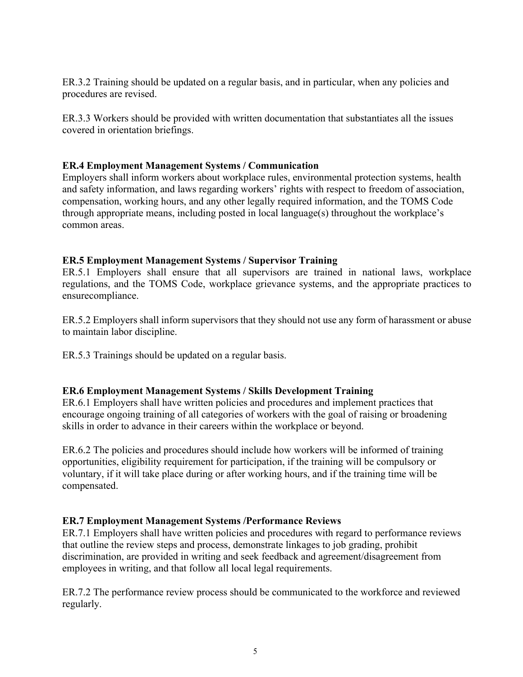ER.3.2 Training should be updated on a regular basis, and in particular, when any policies and procedures are revised.

ER.3.3 Workers should be provided with written documentation that substantiates all the issues covered in orientation briefings.

#### **ER.4 Employment Management Systems / Communication**

Employers shall inform workers about workplace rules, environmental protection systems, health and safety information, and laws regarding workers' rights with respect to freedom of association, compensation, working hours, and any other legally required information, and the TOMS Code through appropriate means, including posted in local language(s) throughout the workplace's common areas.

# **ER.5 Employment Management Systems / Supervisor Training**

ER.5.1 Employers shall ensure that all supervisors are trained in national laws, workplace regulations, and the TOMS Code, workplace grievance systems, and the appropriate practices to ensure compliance.

ER.5.2 Employers shall inform supervisors that they should not use any form of harassment or abuse to maintain labor discipline.

ER.5.3 Trainings should be updated on a regular basis.

# **ER.6 Employment Management Systems / Skills Development Training**

ER.6.1 Employers shall have written policies and procedures and implement practices that encourage ongoing training of all categories of workers with the goal of raising or broadening skills in order to advance in their careers within the workplace or beyond.

ER.6.2 The policies and procedures should include how workers will be informed of training opportunities, eligibility requirement for participation, if the training will be compulsory or voluntary, if it will take place during or after working hours, and if the training time will be compensated.

# **ER.7 Employment Management Systems /Performance Reviews**

ER.7.1 Employers shall have written policies and procedures with regard to performance reviews that outline the review steps and process, demonstrate linkages to job grading, prohibit discrimination, are provided in writing and seek feedback and agreement/disagreement from employees in writing, and that follow all local legal requirements.

ER.7.2 The performance review process should be communicated to the workforce and reviewed regularly.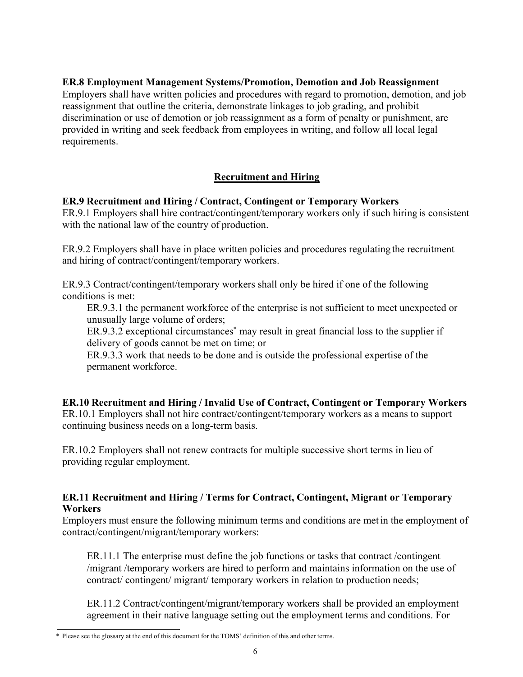# **ER.8 Employment Management Systems/Promotion, Demotion and Job Reassignment**

Employers shall have written policies and procedures with regard to promotion, demotion, and job reassignment that outline the criteria, demonstrate linkages to job grading, and prohibit discrimination or use of demotion or job reassignment as a form of penalty or punishment, are provided in writing and seek feedback from employees in writing, and follow all local legal requirements.

# **Recruitment and Hiring**

# **ER.9 Recruitment and Hiring / Contract, Contingent or Temporary Workers**

ER.9.1 Employers shall hire contract/contingent/temporary workers only if such hiring is consistent with the national law of the country of production.

ER.9.2 Employers shall have in place written policies and procedures regulating the recruitment and hiring of contract/contingent/temporary workers.

ER.9.3 Contract/contingent/temporary workers shall only be hired if one of the following conditions is met:

ER.9.3.1 the permanent workforce of the enterprise is not sufficient to meet unexpected or unusually large volume of orders;

ER.9.3.2 exceptional circumstances<sup>\*</sup> may result in great financial loss to the supplier if delivery of goods cannot be met on time; or

ER.9.3.3 work that needs to be done and is outside the professional expertise of the permanent workforce.

**ER.10 Recruitment and Hiring / Invalid Use of Contract, Contingent or Temporary Workers**  ER.10.1 Employers shall not hire contract/contingent/temporary workers as a means to support continuing business needs on a long-term basis.

ER.10.2 Employers shall not renew contracts for multiple successive short terms in lieu of providing regular employment.

## **ER.11 Recruitment and Hiring / Terms for Contract, Contingent, Migrant or Temporary Workers**

Employers must ensure the following minimum terms and conditions are met in the employment of contract/contingent/migrant/temporary workers:

ER.11.1 The enterprise must define the job functions or tasks that contract /contingent /migrant /temporary workers are hired to perform and maintains information on the use of contract/ contingent/ migrant/ temporary workers in relation to production needs;

ER.11.2 Contract/contingent/migrant/temporary workers shall be provided an employment agreement in their native language setting out the employment terms and conditions. For

<sup>\*</sup> Please see the glossary at the end of this document for the TOMS' definition of this and other terms.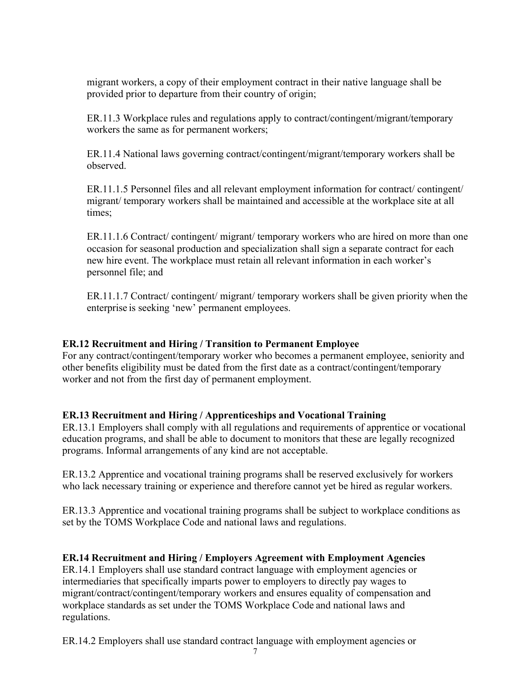migrant workers, a copy of their employment contract in their native language shall be provided prior to departure from their country of origin;

ER.11.3 Workplace rules and regulations apply to contract/contingent/migrant/temporary workers the same as for permanent workers;

ER.11.4 National laws governing contract/contingent/migrant/temporary workers shall be observed.

ER.11.1.5 Personnel files and all relevant employment information for contract/ contingent/ migrant/ temporary workers shall be maintained and accessible at the workplace site at all times;

ER.11.1.6 Contract/ contingent/ migrant/ temporary workers who are hired on more than one occasion for seasonal production and specialization shall sign a separate contract for each new hire event. The workplace must retain all relevant information in each worker's personnel file; and

ER.11.1.7 Contract/ contingent/ migrant/ temporary workers shall be given priority when the enterprise is seeking 'new' permanent employees.

# **ER.12 Recruitment and Hiring / Transition to Permanent Employee**

For any contract/contingent/temporary worker who becomes a permanent employee, seniority and other benefits eligibility must be dated from the first date as a contract/contingent/temporary worker and not from the first day of permanent employment.

# **ER.13 Recruitment and Hiring / Apprenticeships and Vocational Training**

ER.13.1 Employers shall comply with all regulations and requirements of apprentice or vocational education programs, and shall be able to document to monitors that these are legally recognized programs. Informal arrangements of any kind are not acceptable.

ER.13.2 Apprentice and vocational training programs shall be reserved exclusively for workers who lack necessary training or experience and therefore cannot yet be hired as regular workers.

ER.13.3 Apprentice and vocational training programs shall be subject to workplace conditions as set by the TOMS Workplace Code and national laws and regulations.

#### **ER.14 Recruitment and Hiring / Employers Agreement with Employment Agencies**

ER.14.1 Employers shall use standard contract language with employment agencies or intermediaries that specifically imparts power to employers to directly pay wages to migrant/contract/contingent/temporary workers and ensures equality of compensation and workplace standards as set under the TOMS Workplace Code and national laws and regulations.

ER.14.2 Employers shall use standard contract language with employment agencies or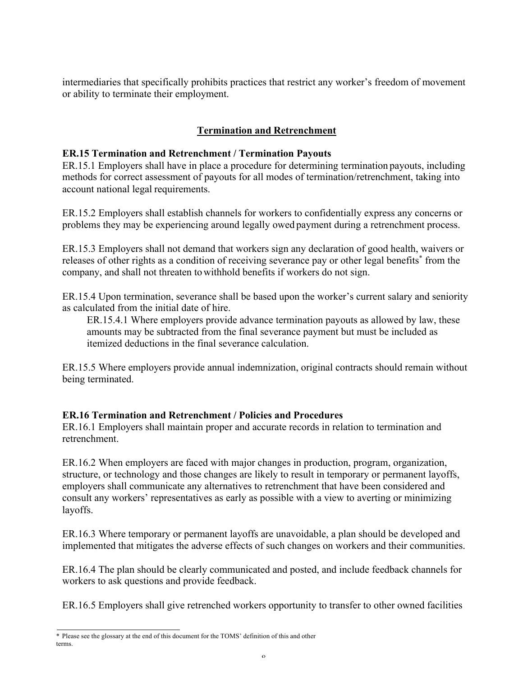intermediaries that specifically prohibits practices that restrict any worker's freedom of movement or ability to terminate their employment.

# **Termination and Retrenchment**

## **ER.15 Termination and Retrenchment / Termination Payouts**

ER.15.1 Employers shall have in place a procedure for determining termination payouts, including methods for correct assessment of payouts for all modes of termination/retrenchment, taking into account national legal requirements.

ER.15.2 Employers shall establish channels for workers to confidentially express any concerns or problems they may be experiencing around legally owed payment during a retrenchment process.

ER.15.3 Employers shall not demand that workers sign any declaration of good health, waivers or releases of other rights as a condition of receiving severance pay or other legal benefits<sup>\*</sup> from the company, and shall not threaten to withhold benefits if workers do not sign.

ER.15.4 Upon termination, severance shall be based upon the worker's current salary and seniority as calculated from the initial date of hire.

ER.15.4.1 Where employers provide advance termination payouts as allowed by law, these amounts may be subtracted from the final severance payment but must be included as itemized deductions in the final severance calculation.

ER.15.5 Where employers provide annual indemnization, original contracts should remain without being terminated.

# **ER.16 Termination and Retrenchment / Policies and Procedures**

ER.16.1 Employers shall maintain proper and accurate records in relation to termination and retrenchment.

ER.16.2 When employers are faced with major changes in production, program, organization, structure, or technology and those changes are likely to result in temporary or permanent layoffs, employers shall communicate any alternatives to retrenchment that have been considered and consult any workers' representatives as early as possible with a view to averting or minimizing layoffs.

ER.16.3 Where temporary or permanent layoffs are unavoidable, a plan should be developed and implemented that mitigates the adverse effects of such changes on workers and their communities.

ER.16.4 The plan should be clearly communicated and posted, and include feedback channels for workers to ask questions and provide feedback.

ER.16.5 Employers shall give retrenched workers opportunity to transfer to other owned facilities

<sup>\*</sup> Please see the glossary at the end of this document for the TOMS' definition of this and other terms.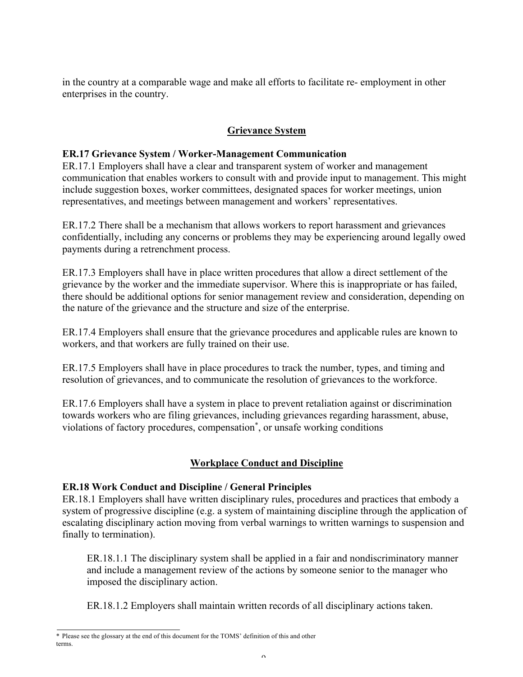in the country at a comparable wage and make all efforts to facilitate re- employment in other enterprises in the country.

# **Grievance System**

## **ER.17 Grievance System / Worker-Management Communication**

ER.17.1 Employers shall have a clear and transparent system of worker and management communication that enables workers to consult with and provide input to management. This might include suggestion boxes, worker committees, designated spaces for worker meetings, union representatives, and meetings between management and workers' representatives.

ER.17.2 There shall be a mechanism that allows workers to report harassment and grievances confidentially, including any concerns or problems they may be experiencing around legally owed payments during a retrenchment process.

ER.17.3 Employers shall have in place written procedures that allow a direct settlement of the grievance by the worker and the immediate supervisor. Where this is inappropriate or has failed, there should be additional options for senior management review and consideration, depending on the nature of the grievance and the structure and size of the enterprise.

ER.17.4 Employers shall ensure that the grievance procedures and applicable rules are known to workers, and that workers are fully trained on their use.

ER.17.5 Employers shall have in place procedures to track the number, types, and timing and resolution of grievances, and to communicate the resolution of grievances to the workforce.

ER.17.6 Employers shall have a system in place to prevent retaliation against or discrimination towards workers who are filing grievances, including grievances regarding harassment, abuse, violations of factory procedures, compensation\* , or unsafe working conditions

# **Workplace Conduct and Discipline**

# **ER.18 Work Conduct and Discipline / General Principles**

ER.18.1 Employers shall have written disciplinary rules, procedures and practices that embody a system of progressive discipline (e.g. a system of maintaining discipline through the application of escalating disciplinary action moving from verbal warnings to written warnings to suspension and finally to termination).

ER.18.1.1 The disciplinary system shall be applied in a fair and nondiscriminatory manner and include a management review of the actions by someone senior to the manager who imposed the disciplinary action.

ER.18.1.2 Employers shall maintain written records of all disciplinary actions taken.

<sup>\*</sup> Please see the glossary at the end of this document for the TOMS' definition of this and other terms.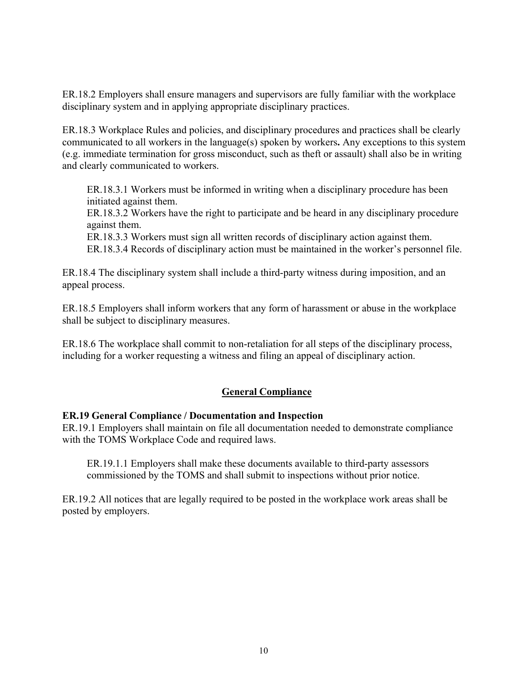ER.18.2 Employers shall ensure managers and supervisors are fully familiar with the workplace disciplinary system and in applying appropriate disciplinary practices.

ER.18.3 Workplace Rules and policies, and disciplinary procedures and practices shall be clearly communicated to all workers in the language(s) spoken by workers**.** Any exceptions to this system (e.g. immediate termination for gross misconduct, such as theft or assault) shall also be in writing and clearly communicated to workers.

ER.18.3.1 Workers must be informed in writing when a disciplinary procedure has been initiated against them.

ER.18.3.2 Workers have the right to participate and be heard in any disciplinary procedure against them.

ER.18.3.3 Workers must sign all written records of disciplinary action against them.

ER.18.3.4 Records of disciplinary action must be maintained in the worker's personnel file.

ER.18.4 The disciplinary system shall include a third-party witness during imposition, and an appeal process.

ER.18.5 Employers shall inform workers that any form of harassment or abuse in the workplace shall be subject to disciplinary measures.

ER.18.6 The workplace shall commit to non-retaliation for all steps of the disciplinary process, including for a worker requesting a witness and filing an appeal of disciplinary action.

# **General Compliance**

#### **ER.19 General Compliance / Documentation and Inspection**

ER.19.1 Employers shall maintain on file all documentation needed to demonstrate compliance with the TOMS Workplace Code and required laws.

ER.19.1.1 Employers shall make these documents available to third-party assessors commissioned by the TOMS and shall submit to inspections without prior notice.

ER.19.2 All notices that are legally required to be posted in the workplace work areas shall be posted by employers.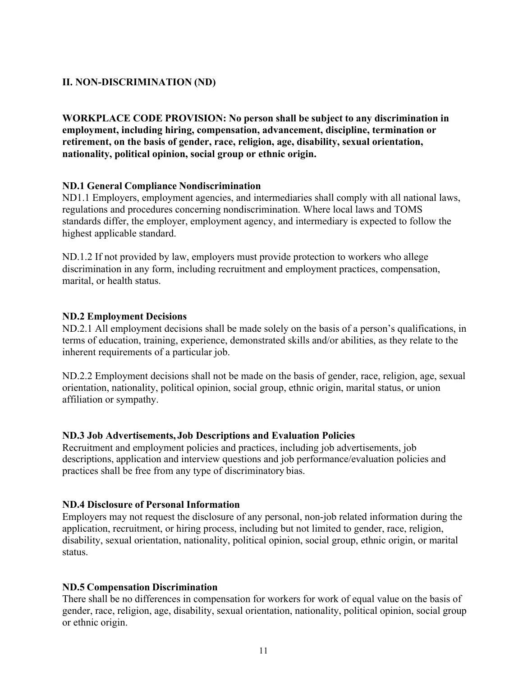# **II. NON-DISCRIMINATION (ND)**

**WORKPLACE CODE PROVISION: No person shall be subject to any discrimination in employment, including hiring, compensation, advancement, discipline, termination or retirement, on the basis of gender, race, religion, age, disability, sexual orientation, nationality, political opinion, social group or ethnic origin.** 

## **ND.1 General Compliance Nondiscrimination**

ND1.1 Employers, employment agencies, and intermediaries shall comply with all national laws, regulations and procedures concerning nondiscrimination. Where local laws and TOMS standards differ, the employer, employment agency, and intermediary is expected to follow the highest applicable standard.

ND.1.2 If not provided by law, employers must provide protection to workers who allege discrimination in any form, including recruitment and employment practices, compensation, marital, or health status.

#### **ND.2 Employment Decisions**

ND.2.1 All employment decisions shall be made solely on the basis of a person's qualifications, in terms of education, training, experience, demonstrated skills and/or abilities, as they relate to the inherent requirements of a particular job.

ND.2.2 Employment decisions shall not be made on the basis of gender, race, religion, age, sexual orientation, nationality, political opinion, social group, ethnic origin, marital status, or union affiliation or sympathy.

#### **ND.3 Job Advertisements, Job Descriptions and Evaluation Policies**

Recruitment and employment policies and practices, including job advertisements, job descriptions, application and interview questions and job performance/evaluation policies and practices shall be free from any type of discriminatory bias.

#### **ND.4 Disclosure of Personal Information**

Employers may not request the disclosure of any personal, non-job related information during the application, recruitment, or hiring process, including but not limited to gender, race, religion, disability, sexual orientation, nationality, political opinion, social group, ethnic origin, or marital status.

# **ND.5 Compensation Discrimination**

There shall be no differences in compensation for workers for work of equal value on the basis of gender, race, religion, age, disability, sexual orientation, nationality, political opinion, social group or ethnic origin.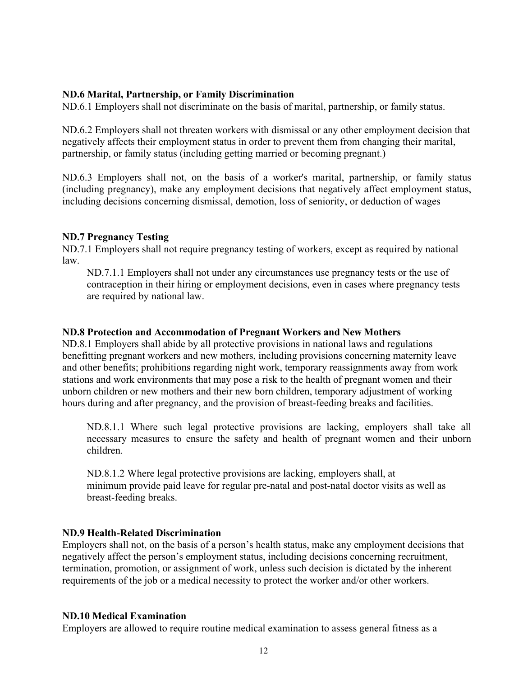## **ND.6 Marital, Partnership, or Family Discrimination**

ND.6.1 Employers shall not discriminate on the basis of marital, partnership, or family status.

ND.6.2 Employers shall not threaten workers with dismissal or any other employment decision that negatively affects their employment status in order to prevent them from changing their marital, partnership, or family status (including getting married or becoming pregnant.)

ND.6.3 Employers shall not, on the basis of a worker's marital, partnership, or family status (including pregnancy), make any employment decisions that negatively affect employment status, including decisions concerning dismissal, demotion, loss of seniority, or deduction of wages

## **ND.7 Pregnancy Testing**

ND.7.1 Employers shall not require pregnancy testing of workers, except as required by national law.

ND.7.1.1 Employers shall not under any circumstances use pregnancy tests or the use of contraception in their hiring or employment decisions, even in cases where pregnancy tests are required by national law.

#### **ND.8 Protection and Accommodation of Pregnant Workers and New Mothers**

ND.8.1 Employers shall abide by all protective provisions in national laws and regulations benefitting pregnant workers and new mothers, including provisions concerning maternity leave and other benefits; prohibitions regarding night work, temporary reassignments away from work stations and work environments that may pose a risk to the health of pregnant women and their unborn children or new mothers and their new born children, temporary adjustment of working hours during and after pregnancy, and the provision of breast-feeding breaks and facilities.

ND.8.1.1 Where such legal protective provisions are lacking, employers shall take all necessary measures to ensure the safety and health of pregnant women and their unborn children.

ND.8.1.2 Where legal protective provisions are lacking, employers shall, at minimum provide paid leave for regular pre-natal and post-natal doctor visits as well as breast-feeding breaks.

#### **ND.9 Health-Related Discrimination**

Employers shall not, on the basis of a person's health status, make any employment decisions that negatively affect the person's employment status, including decisions concerning recruitment, termination, promotion, or assignment of work, unless such decision is dictated by the inherent requirements of the job or a medical necessity to protect the worker and/or other workers.

#### **ND.10 Medical Examination**

Employers are allowed to require routine medical examination to assess general fitness as a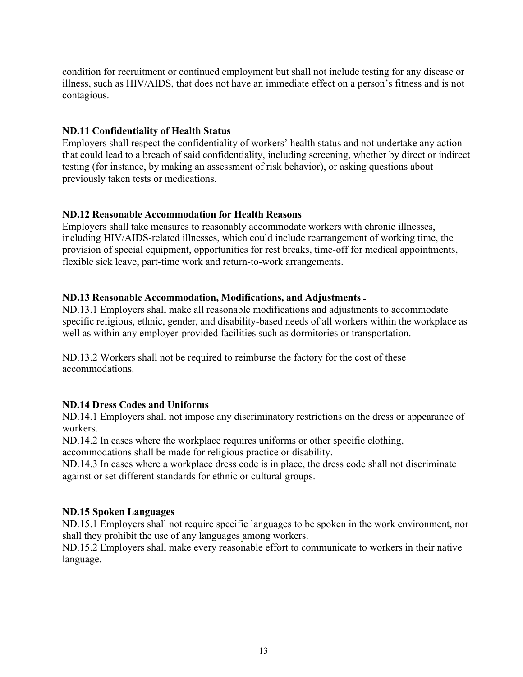condition for recruitment or continued employment but shall not include testing for any disease or illness, such as HIV/AIDS, that does not have an immediate effect on a person's fitness and is not contagious.

#### **ND.11 Confidentiality of Health Status**

Employers shall respect the confidentiality of workers' health status and not undertake any action that could lead to a breach of said confidentiality, including screening, whether by direct or indirect testing (for instance, by making an assessment of risk behavior), or asking questions about previously taken tests or medications.

#### **ND.12 Reasonable Accommodation for Health Reasons**

Employers shall take measures to reasonably accommodate workers with chronic illnesses, including HIV/AIDS-related illnesses, which could include rearrangement of working time, the provision of special equipment, opportunities for rest breaks, time-off for medical appointments, flexible sick leave, part-time work and return-to-work arrangements.

#### **ND.13 Reasonable Accommodation, Modifications, and Adjustments**

ND.13.1 Employers shall make all reasonable modifications and adjustments to accommodate specific religious, ethnic, gender, and disability-based needs of all workers within the workplace as well as within any employer-provided facilities such as dormitories or transportation.

ND.13.2 Workers shall not be required to reimburse the factory for the cost of these accommodations.

# **ND.14 Dress Codes and Uniforms**

ND.14.1 Employers shall not impose any discriminatory restrictions on the dress or appearance of workers.

ND.14.2 In cases where the workplace requires uniforms or other specific clothing,

accommodations shall be made for religious practice or disability.

ND.14.3 In cases where a workplace dress code is in place, the dress code shall not discriminate against or set different standards for ethnic or cultural groups.

#### **ND.15 Spoken Languages**

ND.15.1 Employers shall not require specific languages to be spoken in the work environment, nor shall they prohibit the use of any languages among workers.

ND.15.2 Employers shall make every reasonable effort to communicate to workers in their native language.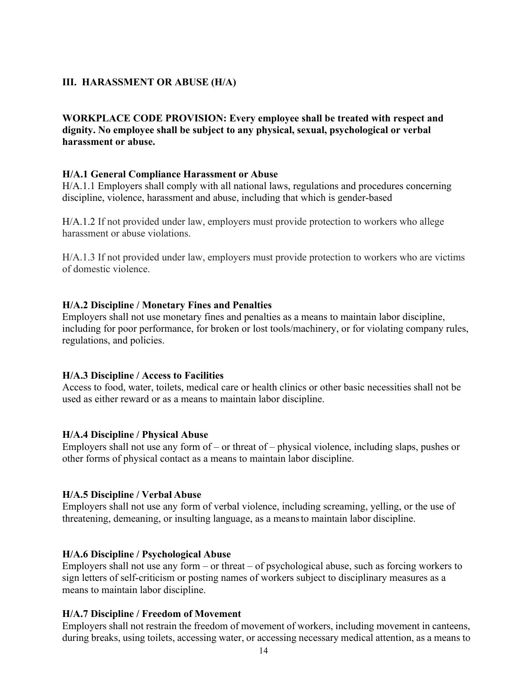## **III. HARASSMENT OR ABUSE (H/A)**

# **WORKPLACE CODE PROVISION: Every employee shall be treated with respect and dignity. No employee shall be subject to any physical, sexual, psychological or verbal harassment or abuse.**

#### **H/A.1 General Compliance Harassment or Abuse**

H/A.1.1 Employers shall comply with all national laws, regulations and procedures concerning discipline, violence, harassment and abuse, including that which is gender-based

H/A.1.2 If not provided under law, employers must provide protection to workers who allege harassment or abuse violations.

H/A.1.3 If not provided under law, employers must provide protection to workers who are victims of domestic violence.

#### **H/A.2 Discipline / Monetary Fines and Penalties**

Employers shall not use monetary fines and penalties as a means to maintain labor discipline, including for poor performance, for broken or lost tools/machinery, or for violating company rules, regulations, and policies.

#### **H/A.3 Discipline / Access to Facilities**

Access to food, water, toilets, medical care or health clinics or other basic necessities shall not be used as either reward or as a means to maintain labor discipline.

#### **H/A.4 Discipline / Physical Abuse**

Employers shall not use any form of – or threat of – physical violence, including slaps, pushes or other forms of physical contact as a means to maintain labor discipline.

#### **H/A.5 Discipline / Verbal Abuse**

Employers shall not use any form of verbal violence, including screaming, yelling, or the use of threatening, demeaning, or insulting language, as a means to maintain labor discipline.

#### **H/A.6 Discipline / Psychological Abuse**

Employers shall not use any form – or threat – of psychological abuse, such as forcing workers to sign letters of self-criticism or posting names of workers subject to disciplinary measures as a means to maintain labor discipline.

#### **H/A.7 Discipline / Freedom of Movement**

Employers shall not restrain the freedom of movement of workers, including movement in canteens, during breaks, using toilets, accessing water, or accessing necessary medical attention, as a means to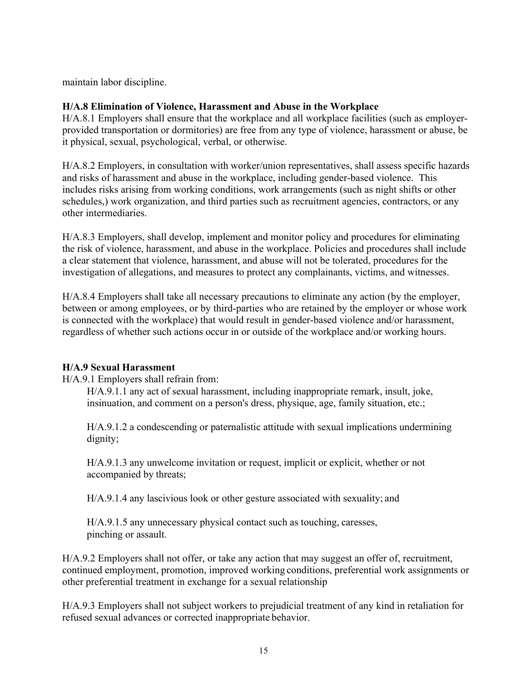maintain labor discipline.

# **H/A.8 Elimination of Violence, Harassment and Abuse in the Workplace**

H/A.8.1 Employers shall ensure that the workplace and all workplace facilities (such as employerprovided transportation or dormitories) are free from any type of violence, harassment or abuse, be it physical, sexual, psychological, verbal, or otherwise.

H/A.8.2 Employers, in consultation with worker/union representatives, shall assess specific hazards and risks of harassment and abuse in the workplace, including gender-based violence. This includes risks arising from working conditions, work arrangements (such as night shifts or other schedules,) work organization, and third parties such as recruitment agencies, contractors, or any other intermediaries.

H/A.8.3 Employers, shall develop, implement and monitor policy and procedures for eliminating the risk of violence, harassment, and abuse in the workplace. Policies and procedures shall include a clear statement that violence, harassment, and abuse will not be tolerated, procedures for the investigation of allegations, and measures to protect any complainants, victims, and witnesses.

H/A.8.4 Employers shall take all necessary precautions to eliminate any action (by the employer, between or among employees, or by third-parties who are retained by the employer or whose work is connected with the workplace) that would result in gender-based violence and/or harassment, regardless of whether such actions occur in or outside of the workplace and/or working hours.

#### **H/A.9 Sexual Harassment**

H/A.9.1 Employers shall refrain from:

H/A.9.1.1 any act of sexual harassment, including inappropriate remark, insult, joke, insinuation, and comment on a person's dress, physique, age, family situation, etc.;

H/A.9.1.2 a condescending or paternalistic attitude with sexual implications undermining dignity;

H/A.9.1.3 any unwelcome invitation or request, implicit or explicit, whether or not accompanied by threats;

H/A.9.1.4 any lascivious look or other gesture associated with sexuality; and

H/A.9.1.5 any unnecessary physical contact such as touching, caresses, pinching or assault.

H/A.9.2 Employers shall not offer, or take any action that may suggest an offer of, recruitment, continued employment, promotion, improved working conditions, preferential work assignments or other preferential treatment in exchange for a sexual relationship

H/A.9.3 Employers shall not subject workers to prejudicial treatment of any kind in retaliation for refused sexual advances or corrected inappropriate behavior.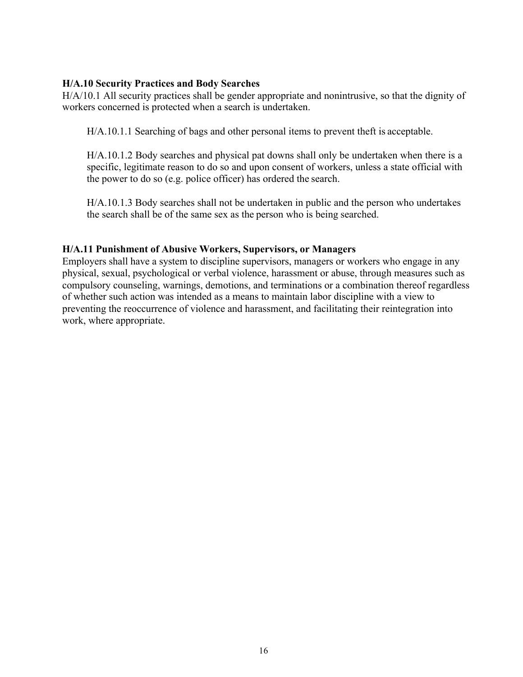# **H/A.10 Security Practices and Body Searches**

H/A/10.1 All security practices shall be gender appropriate and nonintrusive, so that the dignity of workers concerned is protected when a search is undertaken.

H/A.10.1.1 Searching of bags and other personal items to prevent theft is acceptable.

H/A.10.1.2 Body searches and physical pat downs shall only be undertaken when there is a specific, legitimate reason to do so and upon consent of workers, unless a state official with the power to do so (e.g. police officer) has ordered the search.

H/A.10.1.3 Body searches shall not be undertaken in public and the person who undertakes the search shall be of the same sex as the person who is being searched.

## **H/A.11 Punishment of Abusive Workers, Supervisors, or Managers**

Employers shall have a system to discipline supervisors, managers or workers who engage in any physical, sexual, psychological or verbal violence, harassment or abuse, through measures such as compulsory counseling, warnings, demotions, and terminations or a combination thereof regardless of whether such action was intended as a means to maintain labor discipline with a view to preventing the reoccurrence of violence and harassment, and facilitating their reintegration into work, where appropriate.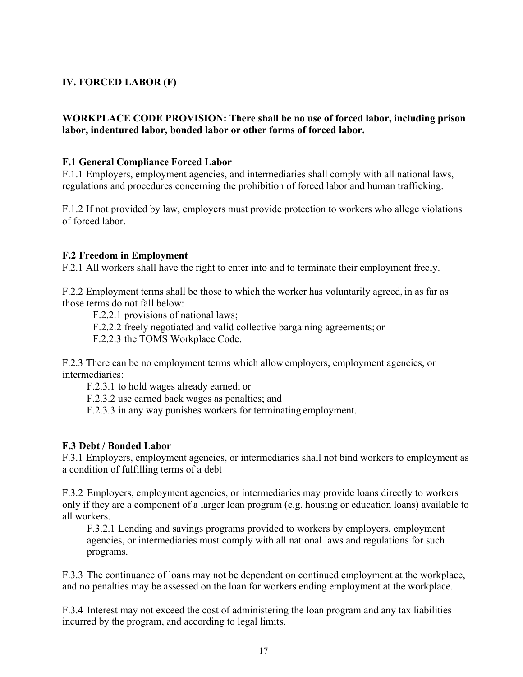# **IV. FORCED LABOR (F)**

## **WORKPLACE CODE PROVISION: There shall be no use of forced labor, including prison labor, indentured labor, bonded labor or other forms of forced labor.**

#### **F.1 General Compliance Forced Labor**

F.1.1 Employers, employment agencies, and intermediaries shall comply with all national laws, regulations and procedures concerning the prohibition of forced labor and human trafficking.

F.1.2 If not provided by law, employers must provide protection to workers who allege violations of forced labor.

#### **F.2 Freedom in Employment**

F.2.1 All workers shall have the right to enter into and to terminate their employment freely.

F.2.2 Employment terms shall be those to which the worker has voluntarily agreed, in as far as those terms do not fall below:

F.2.2.1 provisions of national laws;

F.2.2.2 freely negotiated and valid collective bargaining agreements; or

F.2.2.3 the TOMS Workplace Code.

F.2.3 There can be no employment terms which allow employers, employment agencies, or intermediaries:

F.2.3.1 to hold wages already earned; or

F.2.3.2 use earned back wages as penalties; and

F.2.3.3 in any way punishes workers for terminating employment.

#### **F.3 Debt / Bonded Labor**

F.3.1 Employers, employment agencies, or intermediaries shall not bind workers to employment as a condition of fulfilling terms of a debt

F.3.2 Employers, employment agencies, or intermediaries may provide loans directly to workers only if they are a component of a larger loan program (e.g. housing or education loans) available to all workers.

F.3.2.1 Lending and savings programs provided to workers by employers, employment agencies, or intermediaries must comply with all national laws and regulations for such programs.

F.3.3 The continuance of loans may not be dependent on continued employment at the workplace, and no penalties may be assessed on the loan for workers ending employment at the workplace.

F.3.4 Interest may not exceed the cost of administering the loan program and any tax liabilities incurred by the program, and according to legal limits.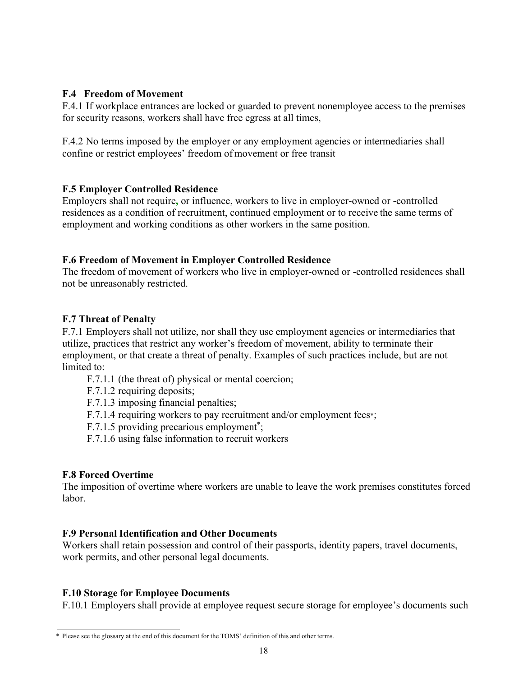## **F.4 Freedom of Movement**

F.4.1 If workplace entrances are locked or guarded to prevent nonemployee access to the premises for security reasons, workers shall have free egress at all times,

F.4.2 No terms imposed by the employer or any employment agencies or intermediaries shall confine or restrict employees' freedom of movement or free transit

## **F.5 Employer Controlled Residence**

Employers shall not require**,** or influence, workers to live in employer-owned or -controlled residences as a condition of recruitment, continued employment or to receive the same terms of employment and working conditions as other workers in the same position.

## **F.6 Freedom of Movement in Employer Controlled Residence**

The freedom of movement of workers who live in employer-owned or -controlled residences shall not be unreasonably restricted.

## **F.7 Threat of Penalty**

F.7.1 Employers shall not utilize, nor shall they use employment agencies or intermediaries that utilize, practices that restrict any worker's freedom of movement, ability to terminate their employment, or that create a threat of penalty. Examples of such practices include, but are not limited to:

F.7.1.1 (the threat of) physical or mental coercion;

F.7.1.2 requiring deposits;

F.7.1.3 imposing financial penalties;

F.7.1.4 requiring workers to pay recruitment and/or employment fees\*;

F.7.1.5 providing precarious employment<sup>\*</sup>;

F.7.1.6 using false information to recruit workers

#### **F.8 Forced Overtime**

The imposition of overtime where workers are unable to leave the work premises constitutes forced labor.

#### **F.9 Personal Identification and Other Documents**

Workers shall retain possession and control of their passports, identity papers, travel documents, work permits, and other personal legal documents.

# **F.10 Storage for Employee Documents**

F.10.1 Employers shall provide at employee request secure storage for employee's documents such

<sup>\*</sup> Please see the glossary at the end of this document for the TOMS' definition of this and other terms.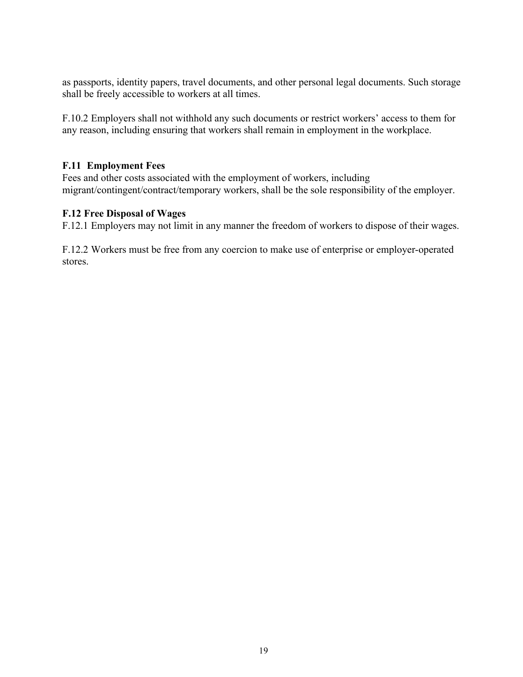as passports, identity papers, travel documents, and other personal legal documents. Such storage shall be freely accessible to workers at all times.

F.10.2 Employers shall not withhold any such documents or restrict workers' access to them for any reason, including ensuring that workers shall remain in employment in the workplace.

#### **F.11 Employment Fees**

Fees and other costs associated with the employment of workers, including migrant/contingent/contract/temporary workers, shall be the sole responsibility of the employer.

#### **F.12 Free Disposal of Wages**

F.12.1 Employers may not limit in any manner the freedom of workers to dispose of their wages.

F.12.2 Workers must be free from any coercion to make use of enterprise or employer-operated stores.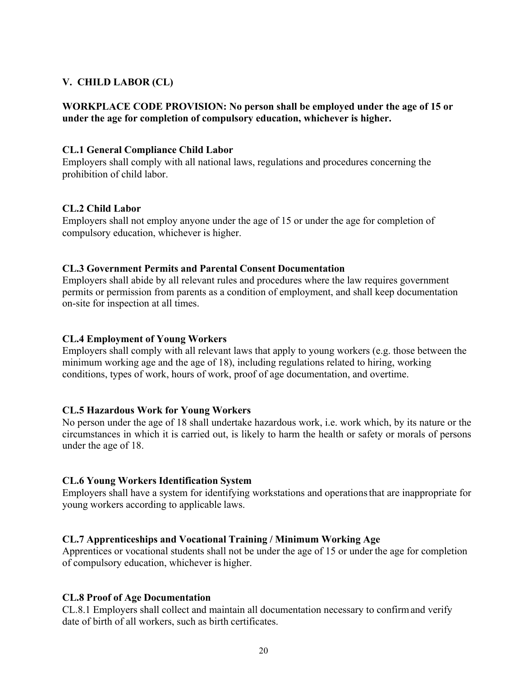# **V. CHILD LABOR (CL)**

# **WORKPLACE CODE PROVISION: No person shall be employed under the age of 15 or under the age for completion of compulsory education, whichever is higher.**

# **CL.1 General Compliance Child Labor**

Employers shall comply with all national laws, regulations and procedures concerning the prohibition of child labor.

## **CL.2 Child Labor**

Employers shall not employ anyone under the age of 15 or under the age for completion of compulsory education, whichever is higher.

#### **CL.3 Government Permits and Parental Consent Documentation**

Employers shall abide by all relevant rules and procedures where the law requires government permits or permission from parents as a condition of employment, and shall keep documentation on-site for inspection at all times.

# **CL.4 Employment of Young Workers**

Employers shall comply with all relevant laws that apply to young workers (e.g. those between the minimum working age and the age of 18), including regulations related to hiring, working conditions, types of work, hours of work, proof of age documentation, and overtime.

#### **CL.5 Hazardous Work for Young Workers**

No person under the age of 18 shall undertake hazardous work, i.e. work which, by its nature or the circumstances in which it is carried out, is likely to harm the health or safety or morals of persons under the age of 18.

#### **CL.6 Young Workers Identification System**

Employers shall have a system for identifying workstations and operations that are inappropriate for young workers according to applicable laws.

#### **CL.7 Apprenticeships and Vocational Training / Minimum Working Age**

Apprentices or vocational students shall not be under the age of 15 or under the age for completion of compulsory education, whichever is higher.

# **CL.8 Proof of Age Documentation**

CL.8.1 Employers shall collect and maintain all documentation necessary to confirm and verify date of birth of all workers, such as birth certificates.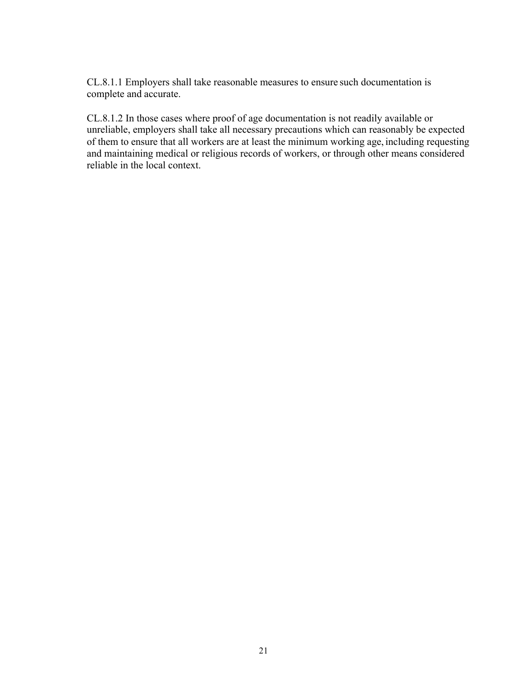CL.8.1.1 Employers shall take reasonable measures to ensure such documentation is complete and accurate.

CL.8.1.2 In those cases where proof of age documentation is not readily available or unreliable, employers shall take all necessary precautions which can reasonably be expected of them to ensure that all workers are at least the minimum working age, including requesting and maintaining medical or religious records of workers, or through other means considered reliable in the local context.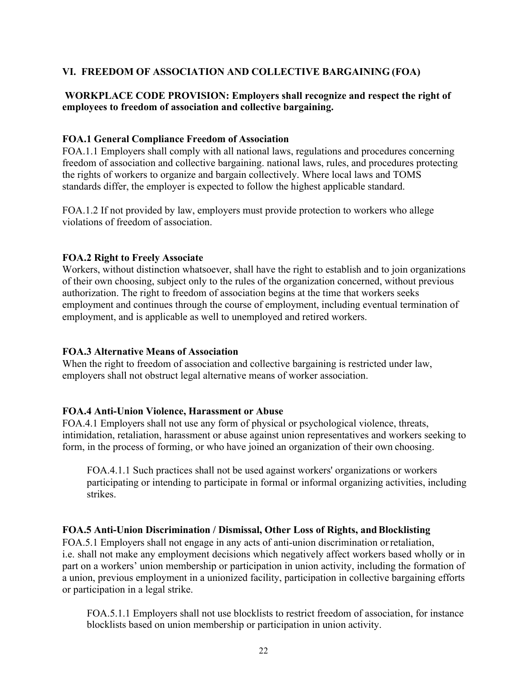# **VI. FREEDOM OF ASSOCIATION AND COLLECTIVE BARGAINING (FOA)**

# **WORKPLACE CODE PROVISION: Employers shall recognize and respect the right of employees to freedom of association and collective bargaining.**

#### **FOA.1 General Compliance Freedom of Association**

FOA.1.1 Employers shall comply with all national laws, regulations and procedures concerning freedom of association and collective bargaining. national laws, rules, and procedures protecting the rights of workers to organize and bargain collectively. Where local laws and TOMS standards differ, the employer is expected to follow the highest applicable standard.

FOA.1.2 If not provided by law, employers must provide protection to workers who allege violations of freedom of association.

#### **FOA.2 Right to Freely Associate**

Workers, without distinction whatsoever, shall have the right to establish and to join organizations of their own choosing, subject only to the rules of the organization concerned, without previous authorization. The right to freedom of association begins at the time that workers seeks employment and continues through the course of employment, including eventual termination of employment, and is applicable as well to unemployed and retired workers.

#### **FOA.3 Alternative Means of Association**

When the right to freedom of association and collective bargaining is restricted under law, employers shall not obstruct legal alternative means of worker association.

#### **FOA.4 Anti-Union Violence, Harassment or Abuse**

FOA.4.1 Employers shall not use any form of physical or psychological violence, threats, intimidation, retaliation, harassment or abuse against union representatives and workers seeking to form, in the process of forming, or who have joined an organization of their own choosing.

FOA.4.1.1 Such practices shall not be used against workers' organizations or workers participating or intending to participate in formal or informal organizing activities, including strikes.

# **FOA.5 Anti-Union Discrimination / Dismissal, Other Loss of Rights, and Blocklisting**

FOA.5.1 Employers shall not engage in any acts of anti-union discrimination or retaliation, i.e. shall not make any employment decisions which negatively affect workers based wholly or in part on a workers' union membership or participation in union activity, including the formation of a union, previous employment in a unionized facility, participation in collective bargaining efforts or participation in a legal strike.

FOA.5.1.1 Employers shall not use blocklists to restrict freedom of association, for instance blocklists based on union membership or participation in union activity.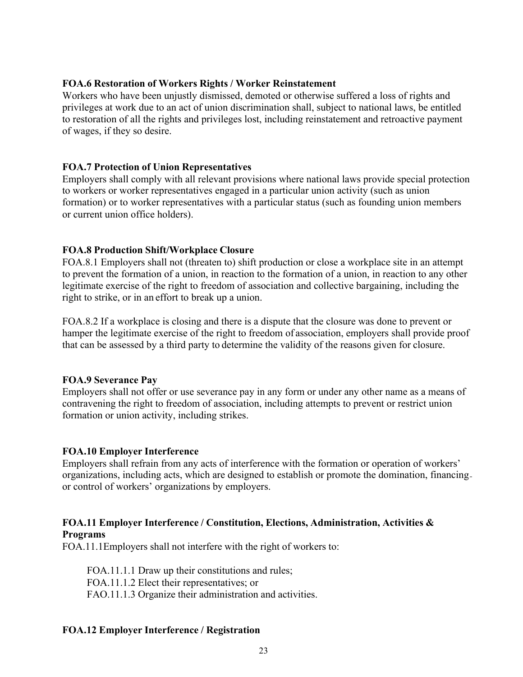## **FOA.6 Restoration of Workers Rights / Worker Reinstatement**

Workers who have been unjustly dismissed, demoted or otherwise suffered a loss of rights and privileges at work due to an act of union discrimination shall, subject to national laws, be entitled to restoration of all the rights and privileges lost, including reinstatement and retroactive payment of wages, if they so desire.

## **FOA.7 Protection of Union Representatives**

Employers shall comply with all relevant provisions where national laws provide special protection to workers or worker representatives engaged in a particular union activity (such as union formation) or to worker representatives with a particular status (such as founding union members or current union office holders).

# **FOA.8 Production Shift/Workplace Closure**

FOA.8.1 Employers shall not (threaten to) shift production or close a workplace site in an attempt to prevent the formation of a union, in reaction to the formation of a union, in reaction to any other legitimate exercise of the right to freedom of association and collective bargaining, including the right to strike, or in an effort to break up a union.

FOA.8.2 If a workplace is closing and there is a dispute that the closure was done to prevent or hamper the legitimate exercise of the right to freedom of association, employers shall provide proof that can be assessed by a third party to determine the validity of the reasons given for closure.

#### **FOA.9 Severance Pay**

Employers shall not offer or use severance pay in any form or under any other name as a means of contravening the right to freedom of association, including attempts to prevent or restrict union formation or union activity, including strikes.

#### **FOA.10 Employer Interference**

Employers shall refrain from any acts of interference with the formation or operation of workers' organizations, including acts, which are designed to establish or promote the domination, financing or control of workers' organizations by employers.

# **FOA.11 Employer Interference / Constitution, Elections, Administration, Activities & Programs**

FOA.11.1Employers shall not interfere with the right of workers to:

FOA.11.1.1 Draw up their constitutions and rules; FOA.11.1.2 Elect their representatives; or FAO.11.1.3 Organize their administration and activities.

# **FOA.12 Employer Interference / Registration**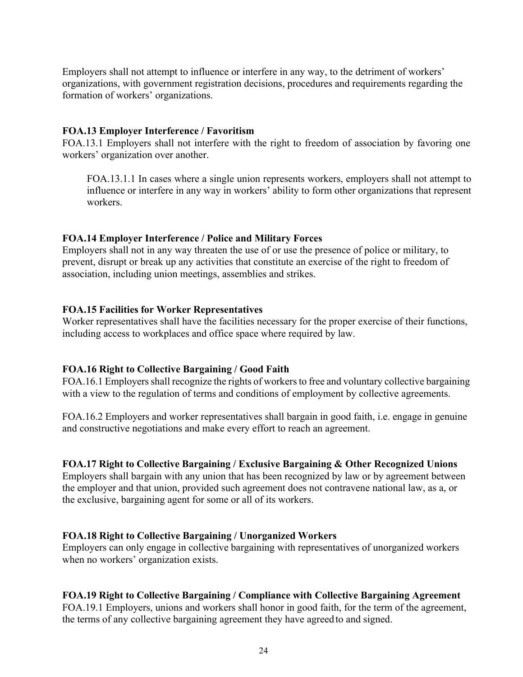Employers shall not attempt to influence or interfere in any way, to the detriment of workers' organizations, with government registration decisions, procedures and requirements regarding the formation of workers' organizations.

#### **FOA.13 Employer Interference / Favoritism**

FOA.13.1 Employers shall not interfere with the right to freedom of association by favoring one workers' organization over another.

FOA.13.1.1 In cases where a single union represents workers, employers shall not attempt to influence or interfere in any way in workers' ability to form other organizations that represent workers.

## **FOA.14 Employer Interference / Police and Military Forces**

Employers shall not in any way threaten the use of or use the presence of police or military, to prevent, disrupt or break up any activities that constitute an exercise of the right to freedom of association, including union meetings, assemblies and strikes.

## **FOA.15 Facilities for Worker Representatives**

Worker representatives shall have the facilities necessary for the proper exercise of their functions, including access to workplaces and office space where required by law.

# **FOA.16 Right to Collective Bargaining / Good Faith**

FOA.16.1 Employers shall recognize the rights of workers to free and voluntary collective bargaining with a view to the regulation of terms and conditions of employment by collective agreements.

FOA.16.2 Employers and worker representatives shall bargain in good faith, i.e. engage in genuine and constructive negotiations and make every effort to reach an agreement.

# **FOA.17 Right to Collective Bargaining / Exclusive Bargaining & Other Recognized Unions**

Employers shall bargain with any union that has been recognized by law or by agreement between the employer and that union, provided such agreement does not contravene national law, as a, or the exclusive, bargaining agent for some or all of its workers.

#### **FOA.18 Right to Collective Bargaining / Unorganized Workers**

Employers can only engage in collective bargaining with representatives of unorganized workers when no workers' organization exists.

#### **FOA.19 Right to Collective Bargaining / Compliance with Collective Bargaining Agreement**

FOA.19.1 Employers, unions and workers shall honor in good faith, for the term of the agreement, the terms of any collective bargaining agreement they have agreed to and signed.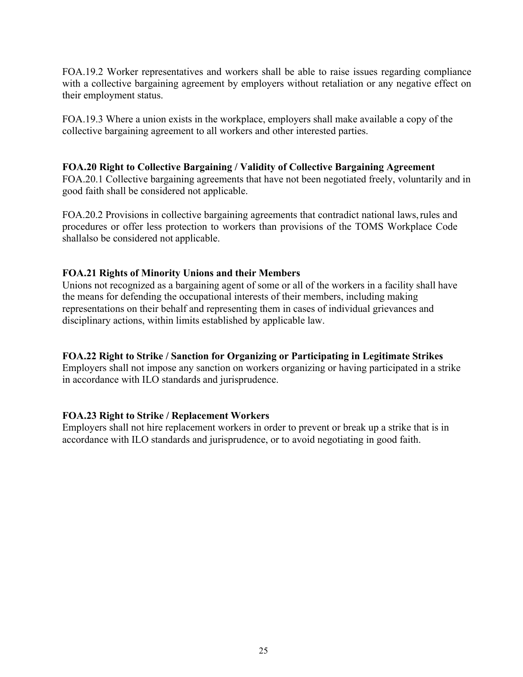FOA.19.2 Worker representatives and workers shall be able to raise issues regarding compliance with a collective bargaining agreement by employers without retaliation or any negative effect on their employment status.

FOA.19.3 Where a union exists in the workplace, employers shall make available a copy of the collective bargaining agreement to all workers and other interested parties.

#### **FOA.20 Right to Collective Bargaining / Validity of Collective Bargaining Agreement**

FOA.20.1 Collective bargaining agreements that have not been negotiated freely, voluntarily and in good faith shall be considered not applicable.

FOA.20.2 Provisions in collective bargaining agreements that contradict national laws, rules and procedures or offer less protection to workers than provisions of the TOMS Workplace Code shall also be considered not applicable.

## **FOA.21 Rights of Minority Unions and their Members**

Unions not recognized as a bargaining agent of some or all of the workers in a facility shall have the means for defending the occupational interests of their members, including making representations on their behalf and representing them in cases of individual grievances and disciplinary actions, within limits established by applicable law.

#### **FOA.22 Right to Strike / Sanction for Organizing or Participating in Legitimate Strikes**

Employers shall not impose any sanction on workers organizing or having participated in a strike in accordance with ILO standards and jurisprudence.

#### **FOA.23 Right to Strike / Replacement Workers**

Employers shall not hire replacement workers in order to prevent or break up a strike that is in accordance with ILO standards and jurisprudence, or to avoid negotiating in good faith.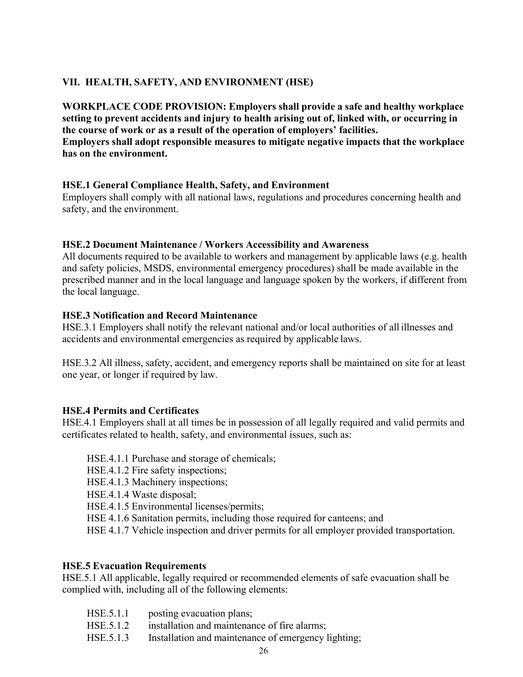# **VII. HEALTH, SAFETY, AND ENVIRONMENT (HSE)**

**WORKPLACE CODE PROVISION: Employers shall provide a safe and healthy workplace setting to prevent accidents and injury to health arising out of, linked with, or occurring in the course of work or as a result of the operation of employers' facilities.** 

# **Employers shall adopt responsible measures to mitigate negative impacts that the workplace has on the environment.**

# **HSE.1 General Compliance Health, Safety, and Environment**

Employers shall comply with all national laws, regulations and procedures concerning health and safety, and the environment.

## **HSE.2 Document Maintenance / Workers Accessibility and Awareness**

All documents required to be available to workers and management by applicable laws (e.g. health and safety policies, MSDS, environmental emergency procedures) shall be made available in the prescribed manner and in the local language and language spoken by the workers, if different from the local language.

## **HSE.3 Notification and Record Maintenance**

HSE.3.1 Employers shall notify the relevant national and/or local authorities of all illnesses and accidents and environmental emergencies as required by applicable laws.

HSE.3.2 All illness, safety, accident, and emergency reports shall be maintained on site for at least one year, or longer if required by law.

#### **HSE.4 Permits and Certificates**

HSE.4.1 Employers shall at all times be in possession of all legally required and valid permits and certificates related to health, safety, and environmental issues, such as:

- HSE.4.1.1 Purchase and storage of chemicals;
- HSE.4.1.2 Fire safety inspections;
- HSE.4.1.3 Machinery inspections;
- HSE.4.1.4 Waste disposal;
- HSE.4.1.5 Environmental licenses/permits;
- HSE 4.1.6 Sanitation permits, including those required for canteens; and
- HSE 4.1.7 Vehicle inspection and driver permits for all employer provided transportation.

#### **HSE.5 Evacuation Requirements**

HSE.5.1 All applicable, legally required or recommended elements of safe evacuation shall be complied with, including all of the following elements:

- HSE.5.1.1 posting evacuation plans;
- HSE.5.1.2 installation and maintenance of fire alarms;
- HSE.5.1.3 Installation and maintenance of emergency lighting;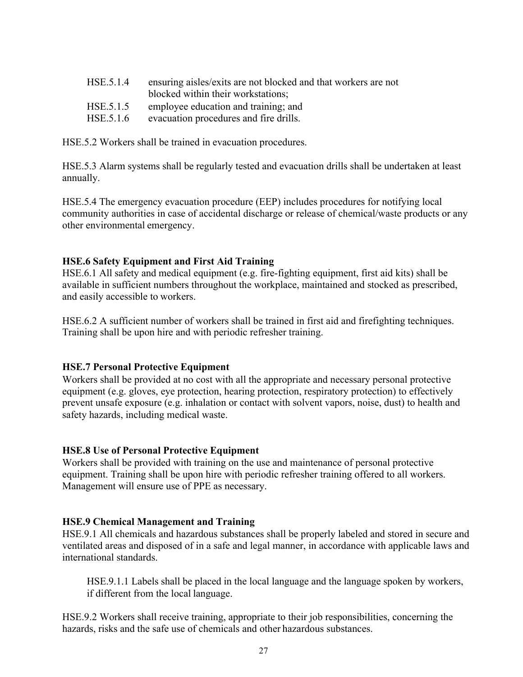HSE.5.2 Workers shall be trained in evacuation procedures.

HSE.5.3 Alarm systems shall be regularly tested and evacuation drills shall be undertaken at least annually.

HSE.5.4 The emergency evacuation procedure (EEP) includes procedures for notifying local community authorities in case of accidental discharge or release of chemical/waste products or any other environmental emergency.

## **HSE.6 Safety Equipment and First Aid Training**

HSE.6.1 All safety and medical equipment (e.g. fire-fighting equipment, first aid kits) shall be available in sufficient numbers throughout the workplace, maintained and stocked as prescribed, and easily accessible to workers.

HSE.6.2 A sufficient number of workers shall be trained in first aid and firefighting techniques. Training shall be upon hire and with periodic refresher training.

#### **HSE.7 Personal Protective Equipment**

Workers shall be provided at no cost with all the appropriate and necessary personal protective equipment (e.g. gloves, eye protection, hearing protection, respiratory protection) to effectively prevent unsafe exposure (e.g. inhalation or contact with solvent vapors, noise, dust) to health and safety hazards, including medical waste.

#### **HSE.8 Use of Personal Protective Equipment**

Workers shall be provided with training on the use and maintenance of personal protective equipment. Training shall be upon hire with periodic refresher training offered to all workers. Management will ensure use of PPE as necessary.

#### **HSE.9 Chemical Management and Training**

HSE.9.1 All chemicals and hazardous substances shall be properly labeled and stored in secure and ventilated areas and disposed of in a safe and legal manner, in accordance with applicable laws and international standards.

HSE.9.1.1 Labels shall be placed in the local language and the language spoken by workers, if different from the local language.

HSE.9.2 Workers shall receive training, appropriate to their job responsibilities, concerning the hazards, risks and the safe use of chemicals and other hazardous substances.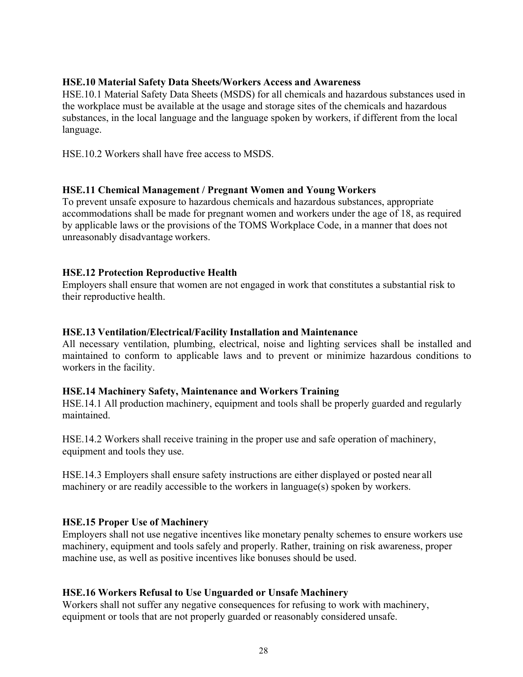# **HSE.10 Material Safety Data Sheets/Workers Access and Awareness**

HSE.10.1 Material Safety Data Sheets (MSDS) for all chemicals and hazardous substances used in the workplace must be available at the usage and storage sites of the chemicals and hazardous substances, in the local language and the language spoken by workers, if different from the local language.

HSE.10.2 Workers shall have free access to MSDS.

#### **HSE.11 Chemical Management / Pregnant Women and Young Workers**

To prevent unsafe exposure to hazardous chemicals and hazardous substances, appropriate accommodations shall be made for pregnant women and workers under the age of 18, as required by applicable laws or the provisions of the TOMS Workplace Code, in a manner that does not unreasonably disadvantage workers.

#### **HSE.12 Protection Reproductive Health**

Employers shall ensure that women are not engaged in work that constitutes a substantial risk to their reproductive health.

#### **HSE.13 Ventilation/Electrical/Facility Installation and Maintenance**

All necessary ventilation, plumbing, electrical, noise and lighting services shall be installed and maintained to conform to applicable laws and to prevent or minimize hazardous conditions to workers in the facility.

#### **HSE.14 Machinery Safety, Maintenance and Workers Training**

HSE.14.1 All production machinery, equipment and tools shall be properly guarded and regularly maintained.

HSE.14.2 Workers shall receive training in the proper use and safe operation of machinery, equipment and tools they use.

HSE.14.3 Employers shall ensure safety instructions are either displayed or posted near all machinery or are readily accessible to the workers in language(s) spoken by workers.

#### **HSE.15 Proper Use of Machinery**

Employers shall not use negative incentives like monetary penalty schemes to ensure workers use machinery, equipment and tools safely and properly. Rather, training on risk awareness, proper machine use, as well as positive incentives like bonuses should be used.

#### **HSE.16 Workers Refusal to Use Unguarded or Unsafe Machinery**

Workers shall not suffer any negative consequences for refusing to work with machinery, equipment or tools that are not properly guarded or reasonably considered unsafe.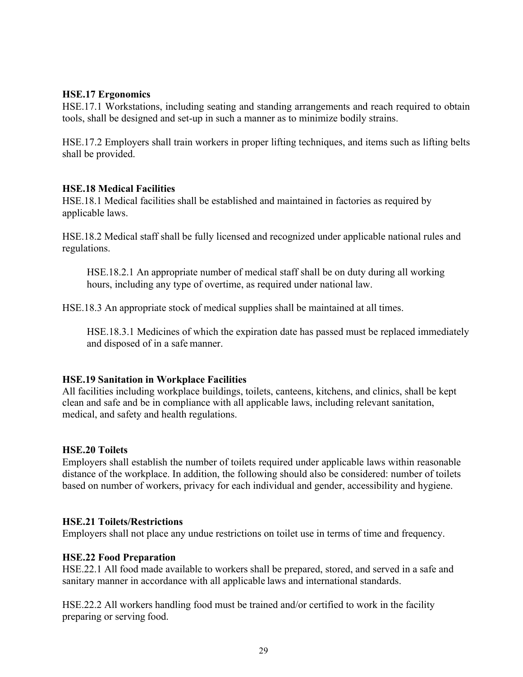## **HSE.17 Ergonomics**

HSE.17.1 Workstations, including seating and standing arrangements and reach required to obtain tools, shall be designed and set-up in such a manner as to minimize bodily strains.

HSE.17.2 Employers shall train workers in proper lifting techniques, and items such as lifting belts shall be provided.

#### **HSE.18 Medical Facilities**

HSE.18.1 Medical facilities shall be established and maintained in factories as required by applicable laws.

HSE.18.2 Medical staff shall be fully licensed and recognized under applicable national rules and regulations.

HSE.18.2.1 An appropriate number of medical staff shall be on duty during all working hours, including any type of overtime, as required under national law.

HSE.18.3 An appropriate stock of medical supplies shall be maintained at all times.

HSE.18.3.1 Medicines of which the expiration date has passed must be replaced immediately and disposed of in a safe manner.

#### **HSE.19 Sanitation in Workplace Facilities**

All facilities including workplace buildings, toilets, canteens, kitchens, and clinics, shall be kept clean and safe and be in compliance with all applicable laws, including relevant sanitation, medical, and safety and health regulations.

#### **HSE.20 Toilets**

Employers shall establish the number of toilets required under applicable laws within reasonable distance of the workplace. In addition, the following should also be considered: number of toilets based on number of workers, privacy for each individual and gender, accessibility and hygiene.

#### **HSE.21 Toilets/Restrictions**

Employers shall not place any undue restrictions on toilet use in terms of time and frequency.

#### **HSE.22 Food Preparation**

HSE.22.1 All food made available to workers shall be prepared, stored, and served in a safe and sanitary manner in accordance with all applicable laws and international standards.

HSE.22.2 All workers handling food must be trained and/or certified to work in the facility preparing or serving food.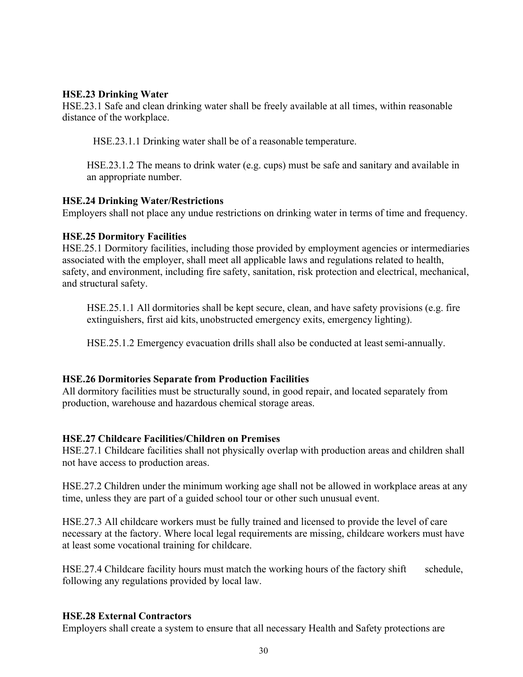## **HSE.23 Drinking Water**

HSE.23.1 Safe and clean drinking water shall be freely available at all times, within reasonable distance of the workplace.

HSE.23.1.1 Drinking water shall be of a reasonable temperature.

HSE.23.1.2 The means to drink water (e.g. cups) must be safe and sanitary and available in an appropriate number.

## **HSE.24 Drinking Water/Restrictions**

Employers shall not place any undue restrictions on drinking water in terms of time and frequency.

## **HSE.25 Dormitory Facilities**

HSE.25.1 Dormitory facilities, including those provided by employment agencies or intermediaries associated with the employer, shall meet all applicable laws and regulations related to health, safety, and environment, including fire safety, sanitation, risk protection and electrical, mechanical, and structural safety.

HSE.25.1.1 All dormitories shall be kept secure, clean, and have safety provisions (e.g. fire extinguishers, first aid kits, unobstructed emergency exits, emergency lighting).

HSE.25.1.2 Emergency evacuation drills shall also be conducted at least semi-annually.

#### **HSE.26 Dormitories Separate from Production Facilities**

All dormitory facilities must be structurally sound, in good repair, and located separately from production, warehouse and hazardous chemical storage areas.

# **HSE.27 Childcare Facilities/Children on Premises**

HSE.27.1 Childcare facilities shall not physically overlap with production areas and children shall not have access to production areas.

HSE.27.2 Children under the minimum working age shall not be allowed in workplace areas at any time, unless they are part of a guided school tour or other such unusual event.

HSE.27.3 All childcare workers must be fully trained and licensed to provide the level of care necessary at the factory. Where local legal requirements are missing, childcare workers must have at least some vocational training for childcare.

HSE.27.4 Childcare facility hours must match the working hours of the factory shift schedule, following any regulations provided by local law.

#### **HSE.28 External Contractors**

Employers shall create a system to ensure that all necessary Health and Safety protections are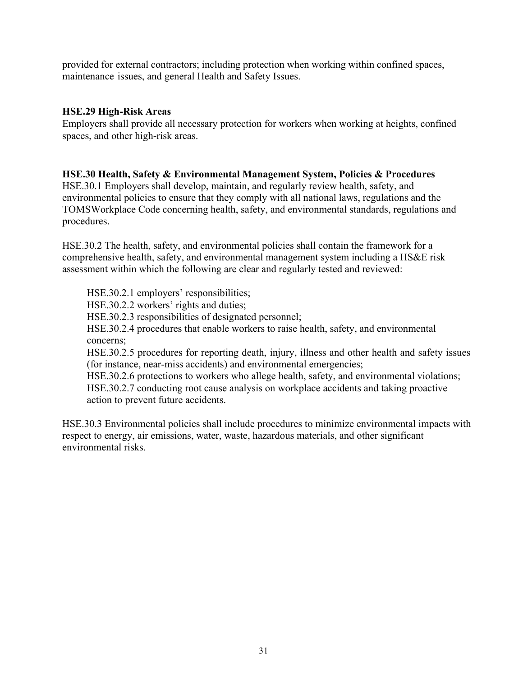provided for external contractors; including protection when working within confined spaces, maintenance issues, and general Health and Safety Issues.

#### **HSE.29 High-Risk Areas**

Employers shall provide all necessary protection for workers when working at heights, confined spaces, and other high-risk areas.

#### **HSE.30 Health, Safety & Environmental Management System, Policies & Procedures**

HSE.30.1 Employers shall develop, maintain, and regularly review health, safety, and environmental policies to ensure that they comply with all national laws, regulations and the TOMS Workplace Code concerning health, safety, and environmental standards, regulations and procedures.

HSE.30.2 The health, safety, and environmental policies shall contain the framework for a comprehensive health, safety, and environmental management system including a HS&E risk assessment within which the following are clear and regularly tested and reviewed:

HSE.30.2.1 employers' responsibilities; HSE.30.2.2 workers' rights and duties; HSE.30.2.3 responsibilities of designated personnel; HSE.30.2.4 procedures that enable workers to raise health, safety, and environmental concerns; HSE.30.2.5 procedures for reporting death, injury, illness and other health and safety issues (for instance, near-miss accidents) and environmental emergencies; HSE.30.2.6 protections to workers who allege health, safety, and environmental violations; HSE.30.2.7 conducting root cause analysis on workplace accidents and taking proactive action to prevent future accidents.

HSE.30.3 Environmental policies shall include procedures to minimize environmental impacts with respect to energy, air emissions, water, waste, hazardous materials, and other significant environmental risks.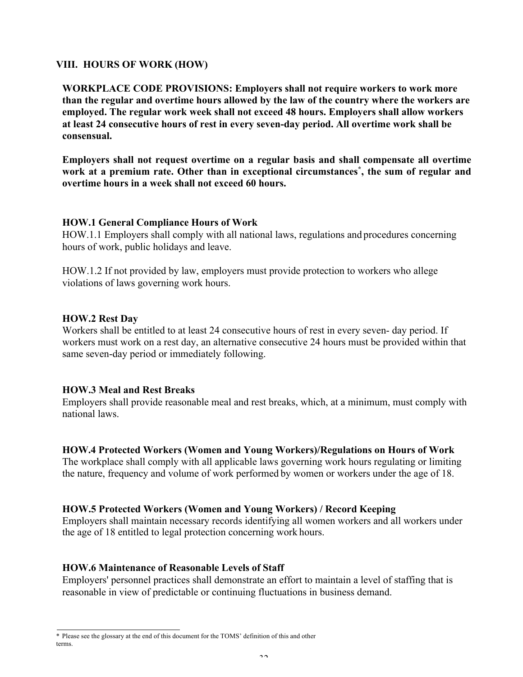#### **VIII. HOURS OF WORK (HOW)**

**WORKPLACE CODE PROVISIONS: Employers shall not require workers to work more than the regular and overtime hours allowed by the law of the country where the workers are employed. The regular work week shall not exceed 48 hours. Employers shall allow workers at least 24 consecutive hours of rest in every seven-day period. All overtime work shall be consensual.** 

**Employers shall not request overtime on a regular basis and shall compensate all overtime work at a premium rate. Other than in exceptional circumstances\* , the sum of regular and overtime hours in a week shall not exceed 60 hours.** 

#### **HOW.1 General Compliance Hours of Work**

HOW.1.1 Employers shall comply with all national laws, regulations and procedures concerning hours of work, public holidays and leave.

HOW.1.2 If not provided by law, employers must provide protection to workers who allege violations of laws governing work hours.

#### **HOW.2 Rest Day**

Workers shall be entitled to at least 24 consecutive hours of rest in every seven- day period. If workers must work on a rest day, an alternative consecutive 24 hours must be provided within that same seven-day period or immediately following.

#### **HOW.3 Meal and Rest Breaks**

Employers shall provide reasonable meal and rest breaks, which, at a minimum, must comply with national laws.

#### **HOW.4 Protected Workers (Women and Young Workers)/Regulations on Hours of Work**

The workplace shall comply with all applicable laws governing work hours regulating or limiting the nature, frequency and volume of work performed by women or workers under the age of 18.

#### **HOW.5 Protected Workers (Women and Young Workers) / Record Keeping**

Employers shall maintain necessary records identifying all women workers and all workers under the age of 18 entitled to legal protection concerning work hours.

#### **HOW.6 Maintenance of Reasonable Levels of Staff**

Employers' personnel practices shall demonstrate an effort to maintain a level of staffing that is reasonable in view of predictable or continuing fluctuations in business demand.

<sup>\*</sup> Please see the glossary at the end of this document for the TOMS' definition of this and other terms.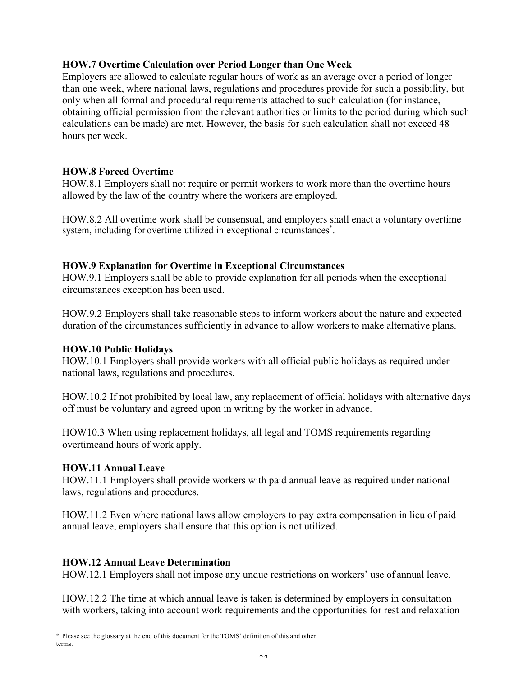# **HOW.7 Overtime Calculation over Period Longer than One Week**

Employers are allowed to calculate regular hours of work as an average over a period of longer than one week, where national laws, regulations and procedures provide for such a possibility, but only when all formal and procedural requirements attached to such calculation (for instance, obtaining official permission from the relevant authorities or limits to the period during which such calculations can be made) are met. However, the basis for such calculation shall not exceed 48 hours per week.

# **HOW.8 Forced Overtime**

HOW.8.1 Employers shall not require or permit workers to work more than the overtime hours allowed by the law of the country where the workers are employed.

HOW.8.2 All overtime work shall be consensual, and employers shall enact a voluntary overtime system, including for overtime utilized in exceptional circumstances\*.

#### **HOW.9 Explanation for Overtime in Exceptional Circumstances**

HOW.9.1 Employers shall be able to provide explanation for all periods when the exceptional circumstances exception has been used.

HOW.9.2 Employers shall take reasonable steps to inform workers about the nature and expected duration of the circumstances sufficiently in advance to allow workers to make alternative plans.

#### **HOW.10 Public Holidays**

HOW.10.1 Employers shall provide workers with all official public holidays as required under national laws, regulations and procedures.

HOW.10.2 If not prohibited by local law, any replacement of official holidays with alternative days off must be voluntary and agreed upon in writing by the worker in advance.

HOW10.3 When using replacement holidays, all legal and TOMS requirements regarding overtime and hours of work apply.

#### **HOW.11 Annual Leave**

HOW.11.1 Employers shall provide workers with paid annual leave as required under national laws, regulations and procedures.

HOW.11.2 Even where national laws allow employers to pay extra compensation in lieu of paid annual leave, employers shall ensure that this option is not utilized.

# **HOW.12 Annual Leave Determination**

HOW.12.1 Employers shall not impose any undue restrictions on workers' use of annual leave.

HOW.12.2 The time at which annual leave is taken is determined by employers in consultation with workers, taking into account work requirements and the opportunities for rest and relaxation

<sup>\*</sup> Please see the glossary at the end of this document for the TOMS' definition of this and other terms.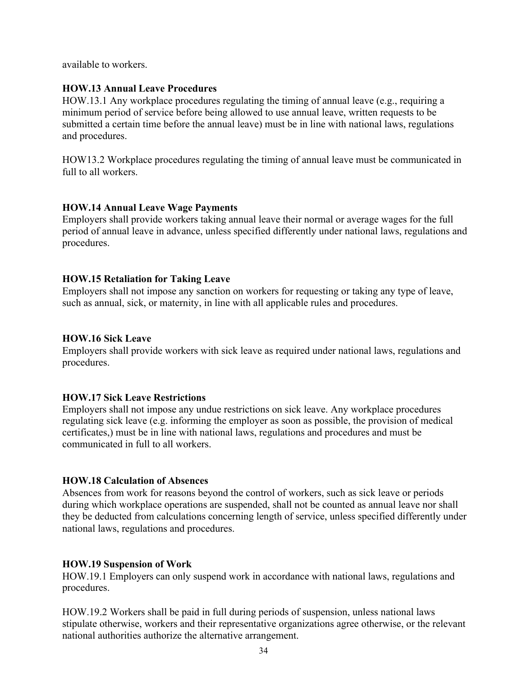available to workers.

#### **HOW.13 Annual Leave Procedures**

HOW.13.1 Any workplace procedures regulating the timing of annual leave (e.g., requiring a minimum period of service before being allowed to use annual leave, written requests to be submitted a certain time before the annual leave) must be in line with national laws, regulations and procedures.

HOW13.2 Workplace procedures regulating the timing of annual leave must be communicated in full to all workers.

## **HOW.14 Annual Leave Wage Payments**

Employers shall provide workers taking annual leave their normal or average wages for the full period of annual leave in advance, unless specified differently under national laws, regulations and procedures.

## **HOW.15 Retaliation for Taking Leave**

Employers shall not impose any sanction on workers for requesting or taking any type of leave, such as annual, sick, or maternity, in line with all applicable rules and procedures.

#### **HOW.16 Sick Leave**

Employers shall provide workers with sick leave as required under national laws, regulations and procedures.

#### **HOW.17 Sick Leave Restrictions**

Employers shall not impose any undue restrictions on sick leave. Any workplace procedures regulating sick leave (e.g. informing the employer as soon as possible, the provision of medical certificates,) must be in line with national laws, regulations and procedures and must be communicated in full to all workers.

#### **HOW.18 Calculation of Absences**

Absences from work for reasons beyond the control of workers, such as sick leave or periods during which workplace operations are suspended, shall not be counted as annual leave nor shall they be deducted from calculations concerning length of service, unless specified differently under national laws, regulations and procedures.

#### **HOW.19 Suspension of Work**

HOW.19.1 Employers can only suspend work in accordance with national laws, regulations and procedures.

HOW.19.2 Workers shall be paid in full during periods of suspension, unless national laws stipulate otherwise, workers and their representative organizations agree otherwise, or the relevant national authorities authorize the alternative arrangement.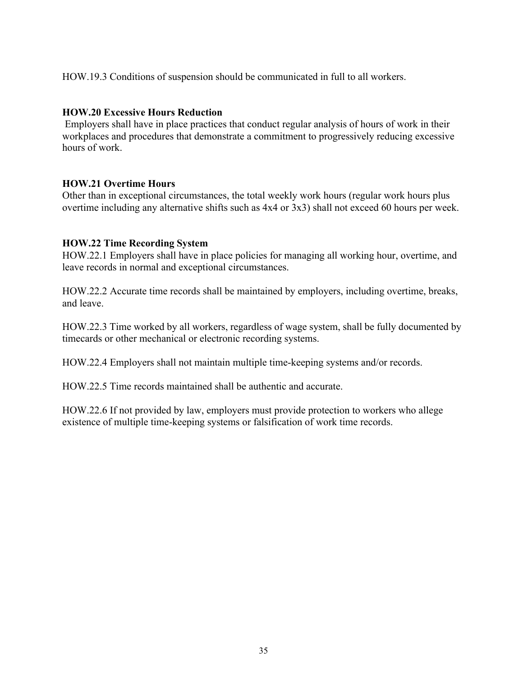HOW.19.3 Conditions of suspension should be communicated in full to all workers.

## **HOW.20 Excessive Hours Reduction**

Employers shall have in place practices that conduct regular analysis of hours of work in their workplaces and procedures that demonstrate a commitment to progressively reducing excessive hours of work.

## **HOW.21 Overtime Hours**

Other than in exceptional circumstances, the total weekly work hours (regular work hours plus overtime including any alternative shifts such as 4x4 or 3x3) shall not exceed 60 hours per week.

## **HOW.22 Time Recording System**

HOW.22.1 Employers shall have in place policies for managing all working hour, overtime, and leave records in normal and exceptional circumstances.

HOW.22.2 Accurate time records shall be maintained by employers, including overtime, breaks, and leave.

HOW.22.3 Time worked by all workers, regardless of wage system, shall be fully documented by timecards or other mechanical or electronic recording systems.

HOW.22.4 Employers shall not maintain multiple time-keeping systems and/or records.

HOW.22.5 Time records maintained shall be authentic and accurate.

HOW.22.6 If not provided by law, employers must provide protection to workers who allege existence of multiple time-keeping systems or falsification of work time records.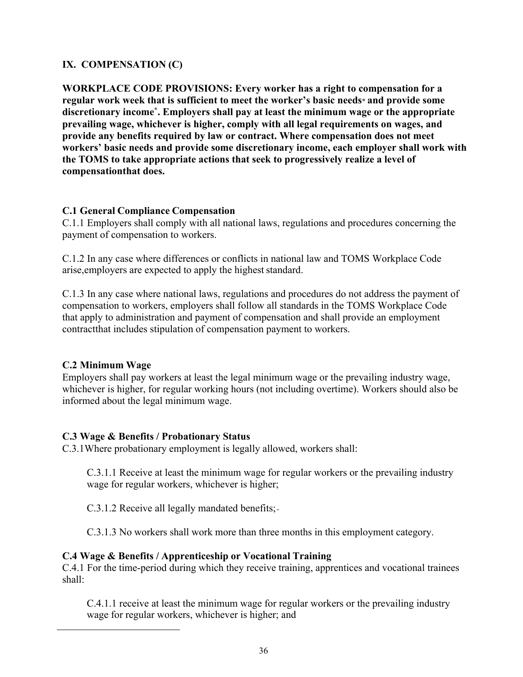# **IX. COMPENSATION (C)**

**WORKPLACE CODE PROVISIONS: Every worker has a right to compensation for a regular work week that is sufficient to meet the worker's basic needs\* and provide some discretionary income\* . Employers shall pay at least the minimum wage or the appropriate prevailing wage, whichever is higher, comply with all legal requirements on wages, and provide any benefits required by law or contract. Where compensation does not meet workers' basic needs and provide some discretionary income, each employer shall work with the TOMS to take appropriate actions that seek to progressively realize a level of compensation that does.** 

## **C.1 General Compliance Compensation**

C.1.1 Employers shall comply with all national laws, regulations and procedures concerning the payment of compensation to workers.

C.1.2 In any case where differences or conflicts in national law and TOMS Workplace Code arise, employers are expected to apply the highest standard.

C.1.3 In any case where national laws, regulations and procedures do not address the payment of compensation to workers, employers shall follow all standards in the TOMS Workplace Code that apply to administration and payment of compensation and shall provide an employment contract that includes stipulation of compensation payment to workers.

# **C.2 Minimum Wage**

Employers shall pay workers at least the legal minimum wage or the prevailing industry wage, whichever is higher, for regular working hours (not including overtime). Workers should also be informed about the legal minimum wage.

#### **C.3 Wage & Benefits / Probationary Status**

C.3.1Where probationary employment is legally allowed, workers shall:

C.3.1.1 Receive at least the minimum wage for regular workers or the prevailing industry wage for regular workers, whichever is higher;

C.3.1.2 Receive all legally mandated benefits;

C.3.1.3 No workers shall work more than three months in this employment category.

# **C.4 Wage & Benefits / Apprenticeship or Vocational Training**

C.4.1 For the time-period during which they receive training, apprentices and vocational trainees shall:

C.4.1.1 receive at least the minimum wage for regular workers or the prevailing industry wage for regular workers, whichever is higher; and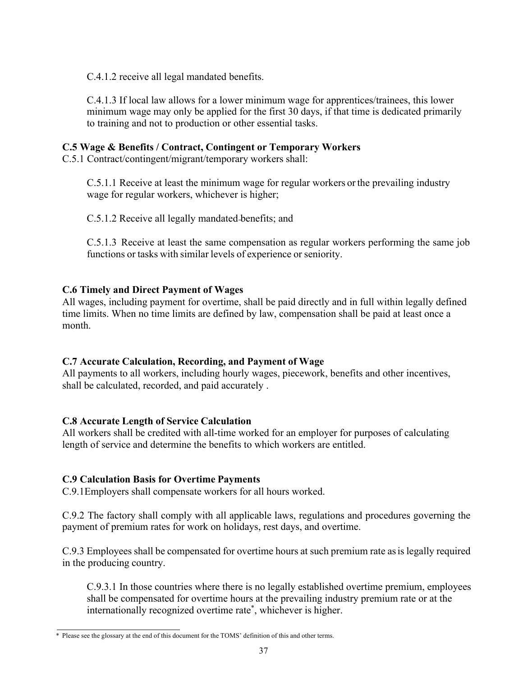C.4.1.2 receive all legal mandated benefits.

C.4.1.3 If local law allows for a lower minimum wage for apprentices/trainees, this lower minimum wage may only be applied for the first 30 days, if that time is dedicated primarily to training and not to production or other essential tasks.

# **C.5 Wage & Benefits / Contract, Contingent or Temporary Workers**

C.5.1 Contract/contingent/migrant/temporary workers shall:

C.5.1.1 Receive at least the minimum wage for regular workers or the prevailing industry wage for regular workers, whichever is higher;

C.5.1.2 Receive all legally mandated benefits; and

C.5.1.3 Receive at least the same compensation as regular workers performing the same job functions or tasks with similar levels of experience or seniority.

# **C.6 Timely and Direct Payment of Wages**

All wages, including payment for overtime, shall be paid directly and in full within legally defined time limits. When no time limits are defined by law, compensation shall be paid at least once a month.

# **C.7 Accurate Calculation, Recording, and Payment of Wage**

All payments to all workers, including hourly wages, piecework, benefits and other incentives, shall be calculated, recorded, and paid accurately .

# **C.8 Accurate Length of Service Calculation**

All workers shall be credited with all-time worked for an employer for purposes of calculating length of service and determine the benefits to which workers are entitled.

# **C.9 Calculation Basis for Overtime Payments**

C.9.1Employers shall compensate workers for all hours worked.

C.9.2 The factory shall comply with all applicable laws, regulations and procedures governing the payment of premium rates for work on holidays, rest days, and overtime.

C.9.3 Employees shall be compensated for overtime hours at such premium rate asis legally required in the producing country.

C.9.3.1 In those countries where there is no legally established overtime premium, employees shall be compensated for overtime hours at the prevailing industry premium rate or at the internationally recognized overtime rate\* , whichever is higher.

<sup>\*</sup> Please see the glossary at the end of this document for the TOMS' definition of this and other terms.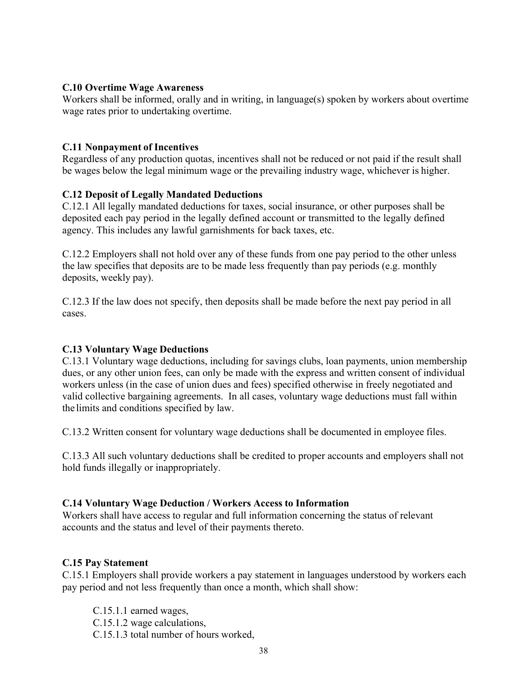#### **C.10 Overtime Wage Awareness**

Workers shall be informed, orally and in writing, in language(s) spoken by workers about overtime wage rates prior to undertaking overtime.

# **C.11 Nonpayment of Incentives**

Regardless of any production quotas, incentives shall not be reduced or not paid if the result shall be wages below the legal minimum wage or the prevailing industry wage, whichever is higher.

# **C.12 Deposit of Legally Mandated Deductions**

C.12.1 All legally mandated deductions for taxes, social insurance, or other purposes shall be deposited each pay period in the legally defined account or transmitted to the legally defined agency. This includes any lawful garnishments for back taxes, etc.

C.12.2 Employers shall not hold over any of these funds from one pay period to the other unless the law specifies that deposits are to be made less frequently than pay periods (e.g. monthly deposits, weekly pay).

C.12.3 If the law does not specify, then deposits shall be made before the next pay period in all cases.

# **C.13 Voluntary Wage Deductions**

C.13.1 Voluntary wage deductions, including for savings clubs, loan payments, union membership dues, or any other union fees, can only be made with the express and written consent of individual workers unless (in the case of union dues and fees) specified otherwise in freely negotiated and valid collective bargaining agreements. In all cases, voluntary wage deductions must fall within the limits and conditions specified by law.

C.13.2 Written consent for voluntary wage deductions shall be documented in employee files.

C.13.3 All such voluntary deductions shall be credited to proper accounts and employers shall not hold funds illegally or inappropriately.

# **C.14 Voluntary Wage Deduction / Workers Access to Information**

Workers shall have access to regular and full information concerning the status of relevant accounts and the status and level of their payments thereto.

#### **C.15 Pay Statement**

C.15.1 Employers shall provide workers a pay statement in languages understood by workers each pay period and not less frequently than once a month, which shall show:

C.15.1.1 earned wages, C.15.1.2 wage calculations, C.15.1.3 total number of hours worked,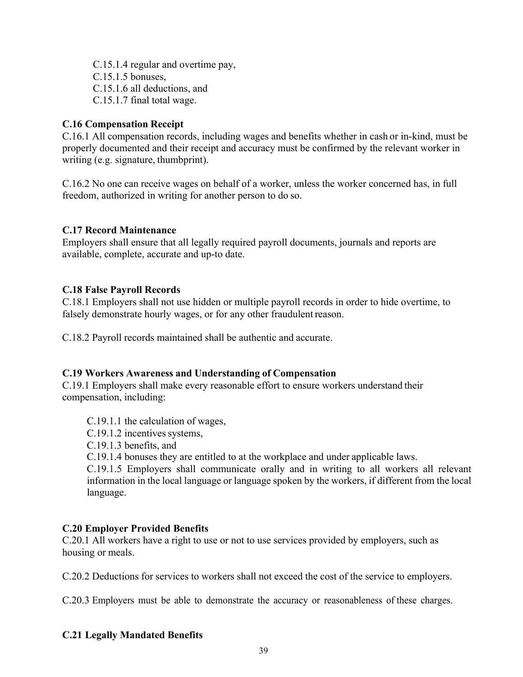C.15.1.4 regular and overtime pay, C.15.1.5 bonuses, C.15.1.6 all deductions, and C.15.1.7 final total wage.

# **C.16 Compensation Receipt**

C.16.1 All compensation records, including wages and benefits whether in cash or in-kind, must be properly documented and their receipt and accuracy must be confirmed by the relevant worker in writing (e.g. signature, thumbprint).

C.16.2 No one can receive wages on behalf of a worker, unless the worker concerned has, in full freedom, authorized in writing for another person to do so.

## **C.17 Record Maintenance**

Employers shall ensure that all legally required payroll documents, journals and reports are available, complete, accurate and up-to date.

## **C.18 False Payroll Records**

C.18.1 Employers shall not use hidden or multiple payroll records in order to hide overtime, to falsely demonstrate hourly wages, or for any other fraudulent reason.

C.18.2 Payroll records maintained shall be authentic and accurate.

#### **C.19 Workers Awareness and Understanding of Compensation**

C.19.1 Employers shall make every reasonable effort to ensure workers understand their compensation, including:

- C.19.1.1 the calculation of wages,
- C.19.1.2 incentives systems,
- C.19.1.3 benefits, and
- C.19.1.4 bonuses they are entitled to at the workplace and under applicable laws.

C.19.1.5 Employers shall communicate orally and in writing to all workers all relevant information in the local language or language spoken by the workers, if different from the local language.

#### **C.20 Employer Provided Benefits**

C.20.1 All workers have a right to use or not to use services provided by employers, such as housing or meals.

C.20.2 Deductions for services to workers shall not exceed the cost of the service to employers.

C.20.3 Employers must be able to demonstrate the accuracy or reasonableness of these charges.

#### **C.21 Legally Mandated Benefits**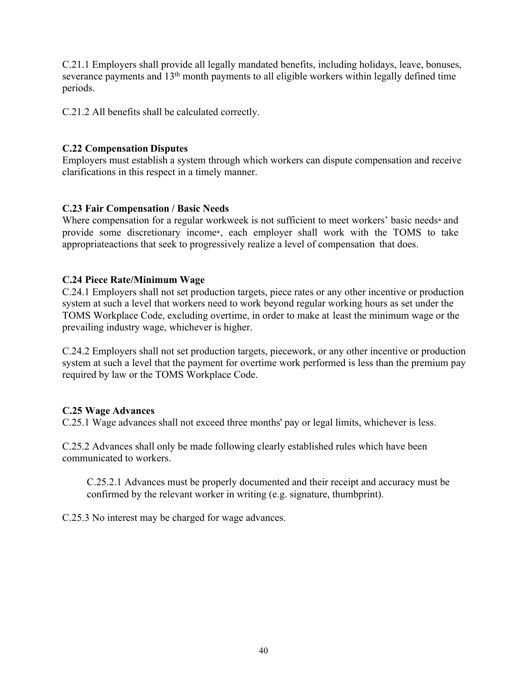C.21.1 Employers shall provide all legally mandated benefits, including holidays, leave, bonuses, severance payments and 13<sup>th</sup> month payments to all eligible workers within legally defined time periods.

C.21.2 All benefits shall be calculated correctly.

## **C.22 Compensation Disputes**

Employers must establish a system through which workers can dispute compensation and receive clarifications in this respect in a timely manner.

## **C.23 Fair Compensation / Basic Needs**

Where compensation for a regular workweek is not sufficient to meet workers' basic needs\* and provide some discretionary income\*, each employer shall work with the TOMS to take appropriate actions that seek to progressively realize a level of compensation that does.

## **C.24 Piece Rate/Minimum Wage**

C.24.1 Employers shall not set production targets, piece rates or any other incentive or production system at such a level that workers need to work beyond regular working hours as set under the TOMS Workplace Code, excluding overtime, in order to make at least the minimum wage or the prevailing industry wage, whichever is higher.

C.24.2 Employers shall not set production targets, piecework, or any other incentive or production system at such a level that the payment for overtime work performed is less than the premium pay required by law or the TOMS Workplace Code.

#### **C.25 Wage Advances**

C.25.1 Wage advances shall not exceed three months' pay or legal limits, whichever is less.

C.25.2 Advances shall only be made following clearly established rules which have been communicated to workers.

C.25.2.1 Advances must be properly documented and their receipt and accuracy must be confirmed by the relevant worker in writing (e.g. signature, thumbprint).

C.25.3 No interest may be charged for wage advances.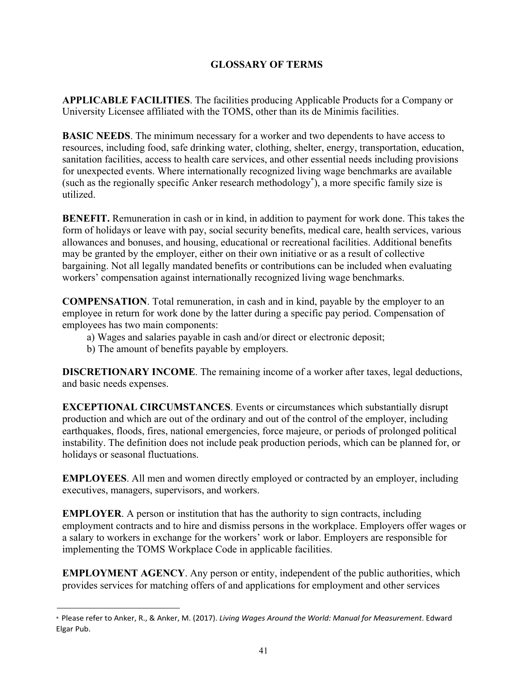# **GLOSSARY OF TERMS**

**APPLICABLE FACILITIES**. The facilities producing Applicable Products for a Company or University Licensee affiliated with the TOMS, other than its de Minimis facilities.

**BASIC NEEDS**. The minimum necessary for a worker and two dependents to have access to resources, including food, safe drinking water, clothing, shelter, energy, transportation, education, sanitation facilities, access to health care services, and other essential needs including provisions for unexpected events. Where internationally recognized living wage benchmarks are available (such as the regionally specific Anker research methodology\* ), a more specific family size is utilized.

**BENEFIT.** Remuneration in cash or in kind, in addition to payment for work done. This takes the form of holidays or leave with pay, social security benefits, medical care, health services, various allowances and bonuses, and housing, educational or recreational facilities. Additional benefits may be granted by the employer, either on their own initiative or as a result of collective bargaining. Not all legally mandated benefits or contributions can be included when evaluating workers' compensation against internationally recognized living wage benchmarks.

**COMPENSATION**. Total remuneration, in cash and in kind, payable by the employer to an employee in return for work done by the latter during a specific pay period. Compensation of employees has two main components:

- a) Wages and salaries payable in cash and/or direct or electronic deposit;
- b) The amount of benefits payable by employers.

**DISCRETIONARY INCOME**. The remaining income of a worker after taxes, legal deductions, and basic needs expenses.

**EXCEPTIONAL CIRCUMSTANCES**. Events or circumstances which substantially disrupt production and which are out of the ordinary and out of the control of the employer, including earthquakes, floods, fires, national emergencies, force majeure, or periods of prolonged political instability. The definition does not include peak production periods, which can be planned for, or holidays or seasonal fluctuations.

**EMPLOYEES**. All men and women directly employed or contracted by an employer, including executives, managers, supervisors, and workers.

**EMPLOYER.** A person or institution that has the authority to sign contracts, including employment contracts and to hire and dismiss persons in the workplace. Employers offer wages or a salary to workers in exchange for the workers' work or labor. Employers are responsible for implementing the TOMS Workplace Code in applicable facilities.

**EMPLOYMENT AGENCY**. Any person or entity, independent of the public authorities, which provides services for matching offers of and applications for employment and other services

<sup>\*</sup> Please refer to Anker, R., & Anker, M. (2017). *Living Wages Around the World: Manual for Measurement*. Edward Elgar Pub.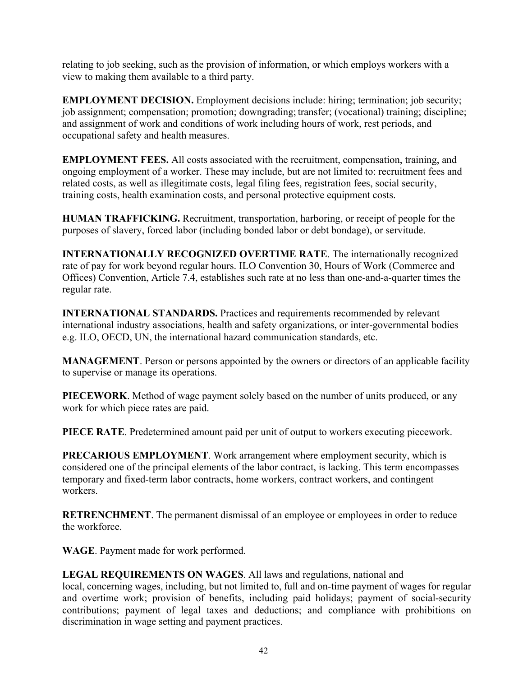relating to job seeking, such as the provision of information, or which employs workers with a view to making them available to a third party.

**EMPLOYMENT DECISION.** Employment decisions include: hiring; termination; job security; job assignment; compensation; promotion; downgrading; transfer; (vocational) training; discipline; and assignment of work and conditions of work including hours of work, rest periods, and occupational safety and health measures.

**EMPLOYMENT FEES.** All costs associated with the recruitment, compensation, training, and ongoing employment of a worker. These may include, but are not limited to: recruitment fees and related costs, as well as illegitimate costs, legal filing fees, registration fees, social security, training costs, health examination costs, and personal protective equipment costs.

**HUMAN TRAFFICKING.** Recruitment, transportation, harboring, or receipt of people for the purposes of slavery, forced labor (including bonded labor or debt bondage), or servitude.

**INTERNATIONALLY RECOGNIZED OVERTIME RATE**. The internationally recognized rate of pay for work beyond regular hours. ILO Convention 30, Hours of Work (Commerce and Offices) Convention, Article 7.4, establishes such rate at no less than one-and-a-quarter times the regular rate.

**INTERNATIONAL STANDARDS.** Practices and requirements recommended by relevant international industry associations, health and safety organizations, or inter-governmental bodies e.g. ILO, OECD, UN, the international hazard communication standards, etc.

**MANAGEMENT**. Person or persons appointed by the owners or directors of an applicable facility to supervise or manage its operations.

**PIECEWORK**. Method of wage payment solely based on the number of units produced, or any work for which piece rates are paid.

**PIECE RATE**. Predetermined amount paid per unit of output to workers executing piecework.

**PRECARIOUS EMPLOYMENT**. Work arrangement where employment security, which is considered one of the principal elements of the labor contract, is lacking. This term encompasses temporary and fixed-term labor contracts, home workers, contract workers, and contingent workers.

**RETRENCHMENT**. The permanent dismissal of an employee or employees in order to reduce the workforce.

**WAGE**. Payment made for work performed.

**LEGAL REQUIREMENTS ON WAGES**. All laws and regulations, national and

local, concerning wages, including, but not limited to, full and on-time payment of wages for regular and overtime work; provision of benefits, including paid holidays; payment of social-security contributions; payment of legal taxes and deductions; and compliance with prohibitions on discrimination in wage setting and payment practices.